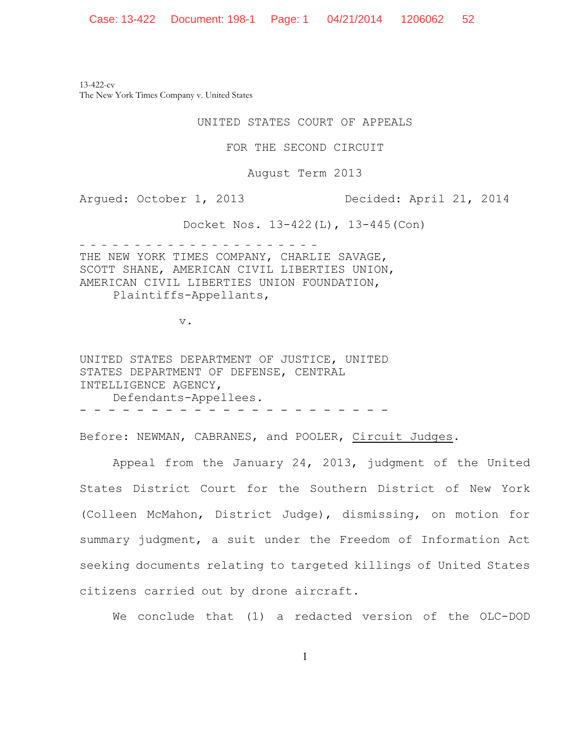13-422-cv The New York Times Company v. United States

UNITED STATES COURT OF APPEALS

FOR THE SECOND CIRCUIT

August Term 2013

Argued: October 1, 2013 Decided: April 21, 2014

Docket Nos. 13-422(L), 13-445(Con)

- - - - - - - - - - - - - - - - - - - - - - THE NEW YORK TIMES COMPANY, CHARLIE SAVAGE, SCOTT SHANE, AMERICAN CIVIL LIBERTIES UNION, AMERICAN CIVIL LIBERTIES UNION FOUNDATION, Plaintiffs-Appellants,

v.

UNITED STATES DEPARTMENT OF JUSTICE, UNITED STATES DEPARTMENT OF DEFENSE, CENTRAL INTELLIGENCE AGENCY, Defendants-Appellees. - - - - - - - - - - - - - - - - - - - - - -

Before: NEWMAN, CABRANES, and POOLER, Circuit Judges.

Appeal from the January 24, 2013, judgment of the United States District Court for the Southern District of New York (Colleen McMahon, District Judge), dismissing, on motion for summary judgment, a suit under the Freedom of Information Act seeking documents relating to targeted killings of United States citizens carried out by drone aircraft.

We conclude that (1) a redacted version of the OLC-DOD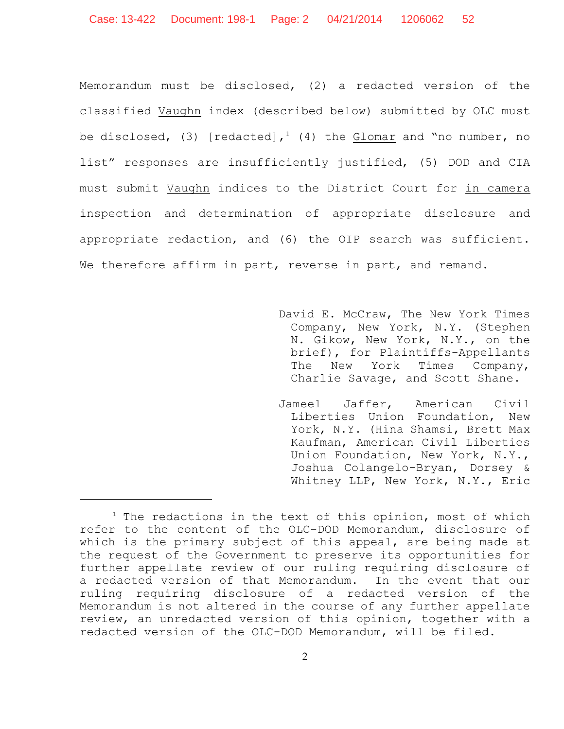Memorandum must be disclosed, (2) a redacted version of the classified Vaughn index (described below) submitted by OLC must be disclosed, (3) [redacted],<sup>1</sup> (4) the Glomar and "no number, no list" responses are insufficiently justified, (5) DOD and CIA must submit Vaughn indices to the District Court for in camera inspection and determination of appropriate disclosure and appropriate redaction, and (6) the OIP search was sufficient. We therefore affirm in part, reverse in part, and remand.

- David E. McCraw, The New York Times Company, New York, N.Y. (Stephen N. Gikow, New York, N.Y., on the brief), for Plaintiffs-Appellants The New York Times Company, Charlie Savage, and Scott Shane.
- Jameel Jaffer, American Civil Liberties Union Foundation, New York, N.Y. (Hina Shamsi, Brett Max Kaufman, American Civil Liberties Union Foundation, New York, N.Y., Joshua Colangelo-Bryan, Dorsey & Whitney LLP, New York, N.Y., Eric

 $1$  The redactions in the text of this opinion, most of which refer to the content of the OLC-DOD Memorandum, disclosure of which is the primary subject of this appeal, are being made at the request of the Government to preserve its opportunities for further appellate review of our ruling requiring disclosure of a redacted version of that Memorandum. In the event that our ruling requiring disclosure of a redacted version of the Memorandum is not altered in the course of any further appellate review, an unredacted version of this opinion, together with a redacted version of the OLC-DOD Memorandum, will be filed.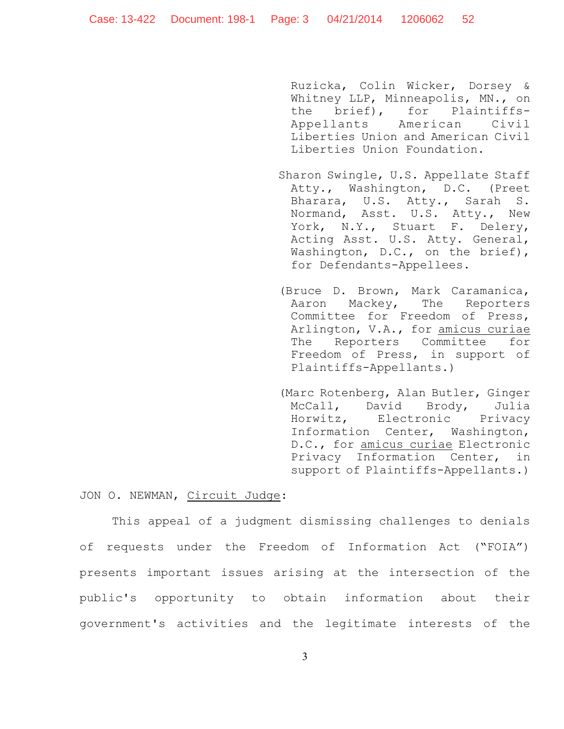Ruzicka, Colin Wicker, Dorsey & Whitney LLP, Minneapolis, MN., on the brief), for Plaintiffs-Appellants American Civil Liberties Union and American Civil Liberties Union Foundation.

- Sharon Swingle, U.S. Appellate Staff Atty., Washington, D.C. (Preet Bharara, U.S. Atty., Sarah S. Normand, Asst. U.S. Atty., New York, N.Y., Stuart F. Delery, Acting Asst. U.S. Atty. General, Washington, D.C., on the brief), for Defendants-Appellees.
- (Bruce D. Brown, Mark Caramanica, Aaron Mackey, The Reporters Committee for Freedom of Press, Arlington, V.A., for amicus curiae The Reporters Committee for Freedom of Press, in support of Plaintiffs-Appellants.)
- (Marc Rotenberg, Alan Butler, Ginger McCall, David Brody, Julia Horwitz, Electronic Privacy Information Center, Washington, D.C., for amicus curiae Electronic Privacy Information Center, in support of Plaintiffs-Appellants.)

### JON O. NEWMAN, Circuit Judge:

This appeal of a judgment dismissing challenges to denials of requests under the Freedom of Information Act ("FOIA") presents important issues arising at the intersection of the public's opportunity to obtain information about their government's activities and the legitimate interests of the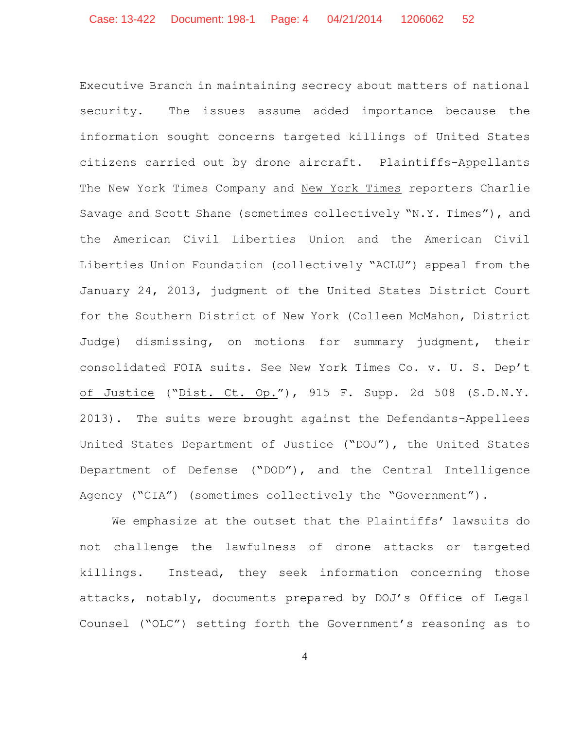Executive Branch in maintaining secrecy about matters of national security. The issues assume added importance because the information sought concerns targeted killings of United States citizens carried out by drone aircraft. Plaintiffs-Appellants The New York Times Company and New York Times reporters Charlie Savage and Scott Shane (sometimes collectively "N.Y. Times"), and the American Civil Liberties Union and the American Civil Liberties Union Foundation (collectively "ACLU") appeal from the January 24, 2013, judgment of the United States District Court for the Southern District of New York (Colleen McMahon, District Judge) dismissing, on motions for summary judgment, their consolidated FOIA suits. See New York Times Co. v. U. S. Dep't of Justice ("Dist. Ct. Op."), 915 F. Supp. 2d 508 (S.D.N.Y. 2013). The suits were brought against the Defendants-Appellees United States Department of Justice ("DOJ"), the United States Department of Defense ("DOD"), and the Central Intelligence Agency ("CIA") (sometimes collectively the "Government").

We emphasize at the outset that the Plaintiffs' lawsuits do not challenge the lawfulness of drone attacks or targeted killings. Instead, they seek information concerning those attacks, notably, documents prepared by DOJ's Office of Legal Counsel ("OLC") setting forth the Government's reasoning as to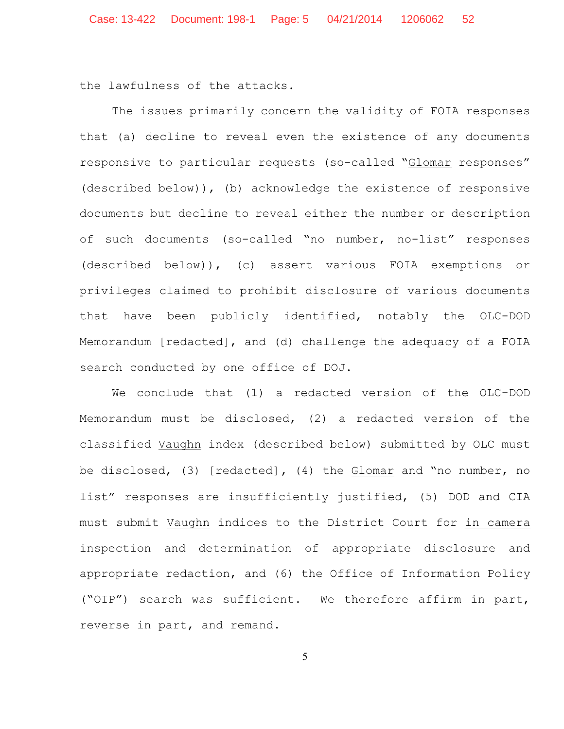the lawfulness of the attacks.

The issues primarily concern the validity of FOIA responses that (a) decline to reveal even the existence of any documents responsive to particular requests (so-called "Glomar responses" (described below)), (b) acknowledge the existence of responsive documents but decline to reveal either the number or description of such documents (so-called "no number, no-list" responses (described below)), (c) assert various FOIA exemptions or privileges claimed to prohibit disclosure of various documents that have been publicly identified, notably the OLC-DOD Memorandum [redacted], and (d) challenge the adequacy of a FOIA search conducted by one office of DOJ.

We conclude that (1) a redacted version of the OLC-DOD Memorandum must be disclosed, (2) a redacted version of the classified Vaughn index (described below) submitted by OLC must be disclosed, (3) [redacted]**,** (4) the Glomar and "no number, no list" responses are insufficiently justified, (5) DOD and CIA must submit Vaughn indices to the District Court for in camera inspection and determination of appropriate disclosure and appropriate redaction, and (6) the Office of Information Policy ("OIP") search was sufficient. We therefore affirm in part, reverse in part, and remand.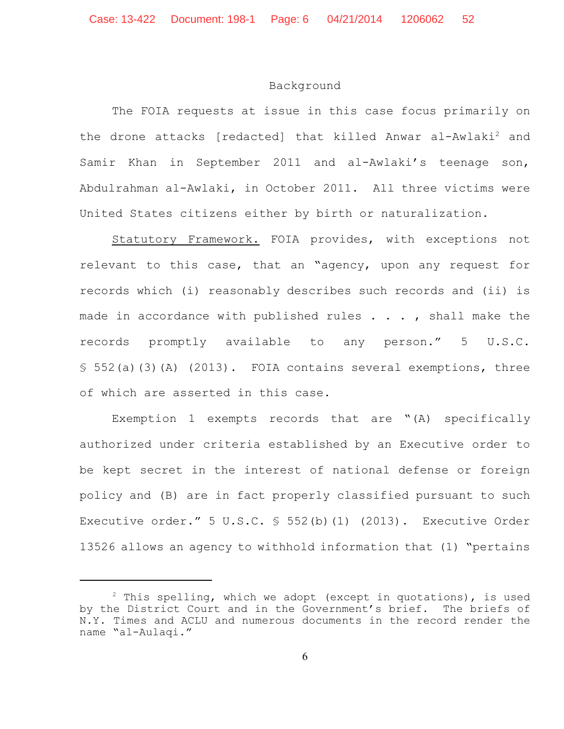### Background

The FOIA requests at issue in this case focus primarily on the drone attacks [redacted] that killed Anwar al-Awlaki<sup>2</sup> and Samir Khan in September 2011 and al-Awlaki's teenage son, Abdulrahman al-Awlaki, in October 2011. All three victims were United States citizens either by birth or naturalization.

Statutory Framework. FOIA provides, with exceptions not relevant to this case, that an "agency, upon any request for records which (i) reasonably describes such records and (ii) is made in accordance with published rules  $\ldots$ , shall make the records promptly available to any person." 5 U.S.C. § 552(a)(3)(A) (2013). FOIA contains several exemptions, three of which are asserted in this case.

Exemption 1 exempts records that are "(A) specifically authorized under criteria established by an Executive order to be kept secret in the interest of national defense or foreign policy and (B) are in fact properly classified pursuant to such Executive order." 5 U.S.C. § 552(b)(1) (2013). Executive Order 13526 allows an agency to withhold information that (1) "pertains

 $2$  This spelling, which we adopt (except in quotations), is used by the District Court and in the Government's brief. The briefs of N.Y. Times and ACLU and numerous documents in the record render the name "al-Aulaqi."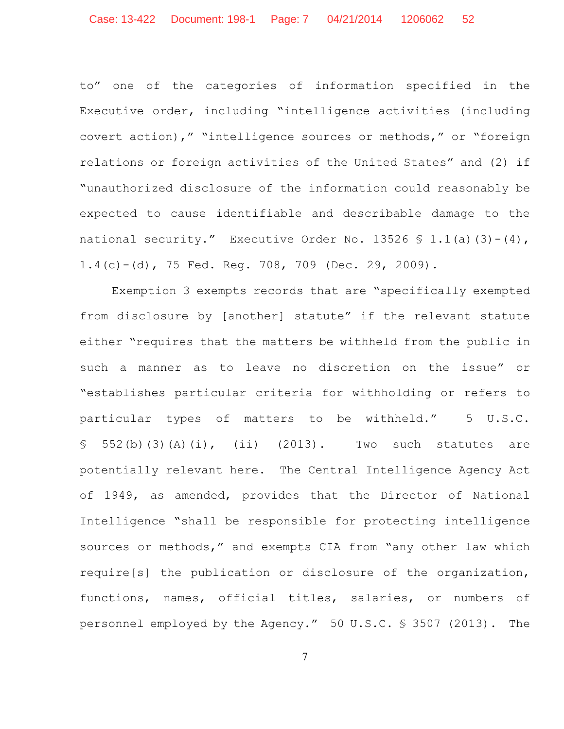to" one of the categories of information specified in the Executive order, including "intelligence activities (including covert action)," "intelligence sources or methods," or "foreign relations or foreign activities of the United States" and (2) if "unauthorized disclosure of the information could reasonably be expected to cause identifiable and describable damage to the national security." Executive Order No. 13526  $\frac{1}{5}$  1.1(a)(3)-(4), 1.4(c)-(d), 75 Fed. Reg. 708, 709 (Dec. 29, 2009).

Exemption 3 exempts records that are "specifically exempted from disclosure by [another] statute" if the relevant statute either "requires that the matters be withheld from the public in such a manner as to leave no discretion on the issue" or "establishes particular criteria for withholding or refers to particular types of matters to be withheld." 5 U.S.C.  $$552(b)(3)(A)(i), (ii)$  (2013). Two such statutes are potentially relevant here. The Central Intelligence Agency Act of 1949, as amended, provides that the Director of National Intelligence "shall be responsible for protecting intelligence sources or methods," and exempts CIA from "any other law which require[s] the publication or disclosure of the organization, functions, names, official titles, salaries, or numbers of personnel employed by the Agency." 50 U.S.C. § 3507 (2013). The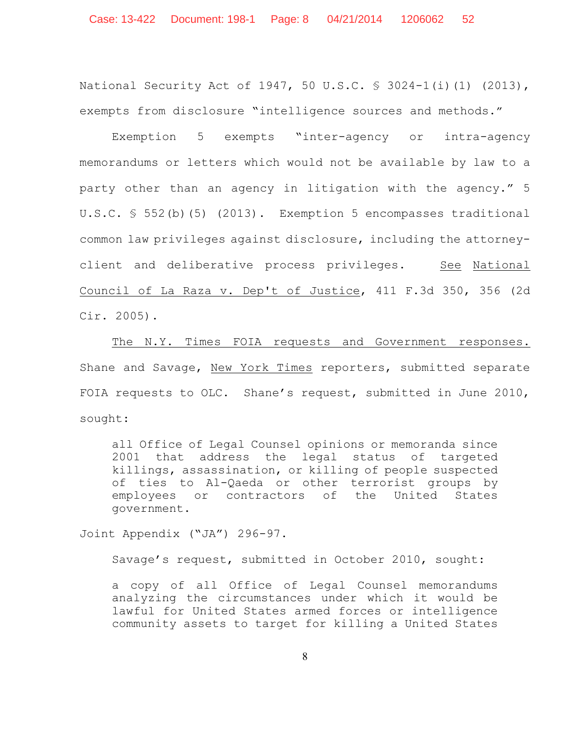National Security Act of 1947, 50 U.S.C. § 3024-1(i)(1) (2013), exempts from disclosure "intelligence sources and methods."

Exemption 5 exempts "inter-agency or intra-agency memorandums or letters which would not be available by law to a party other than an agency in litigation with the agency." 5 U.S.C. § 552(b)(5) (2013). Exemption 5 encompasses traditional common law privileges against disclosure, including the attorneyclient and deliberative process privileges. See National Council of La Raza v. Dep't of Justice, 411 F.3d 350, 356 (2d Cir. 2005).

The N.Y. Times FOIA requests and Government responses. Shane and Savage, New York Times reporters, submitted separate FOIA requests to OLC. Shane's request, submitted in June 2010, sought:

all Office of Legal Counsel opinions or memoranda since 2001 that address the legal status of targeted killings, assassination, or killing of people suspected of ties to Al-Qaeda or other terrorist groups by employees or contractors of the United States government.

Joint Appendix ("JA") 296-97.

Savage's request, submitted in October 2010, sought:

a copy of all Office of Legal Counsel memorandums analyzing the circumstances under which it would be lawful for United States armed forces or intelligence community assets to target for killing a United States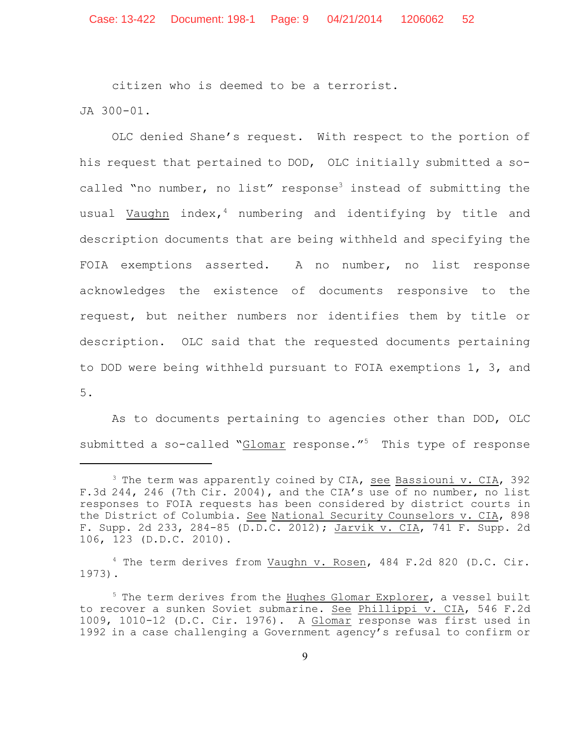citizen who is deemed to be a terrorist.

JA 300-01.

OLC denied Shane's request. With respect to the portion of his request that pertained to DOD, OLC initially submitted a socalled "no number, no list" response<sup>3</sup> instead of submitting the usual Vaughn index, $4$  numbering and identifying by title and description documents that are being withheld and specifying the FOIA exemptions asserted. A no number, no list response acknowledges the existence of documents responsive to the request, but neither numbers nor identifies them by title or description. OLC said that the requested documents pertaining to DOD were being withheld pursuant to FOIA exemptions 1, 3, and 5.

As to documents pertaining to agencies other than DOD, OLC submitted a so-called "Glomar response."<sup>5</sup> This type of response

<sup>4</sup> The term derives from Vaughn v. Rosen, 484 F.2d 820 (D.C. Cir. 1973).

 $3$  The term was apparently coined by CIA, see Bassiouni v. CIA, 392 F.3d 244, 246 (7th Cir. 2004), and the CIA's use of no number, no list responses to FOIA requests has been considered by district courts in the District of Columbia. See National Security Counselors v. CIA, 898 F. Supp. 2d 233, 284-85 (D.D.C. 2012); Jarvik v. CIA, 741 F. Supp. 2d 106, 123 (D.D.C. 2010).

 $5$  The term derives from the Hughes Glomar Explorer, a vessel built to recover a sunken Soviet submarine. See Phillippi v. CIA, 546 F.2d 1009, 1010-12 (D.C. Cir. 1976). A Glomar response was first used in 1992 in a case challenging a Government agency's refusal to confirm or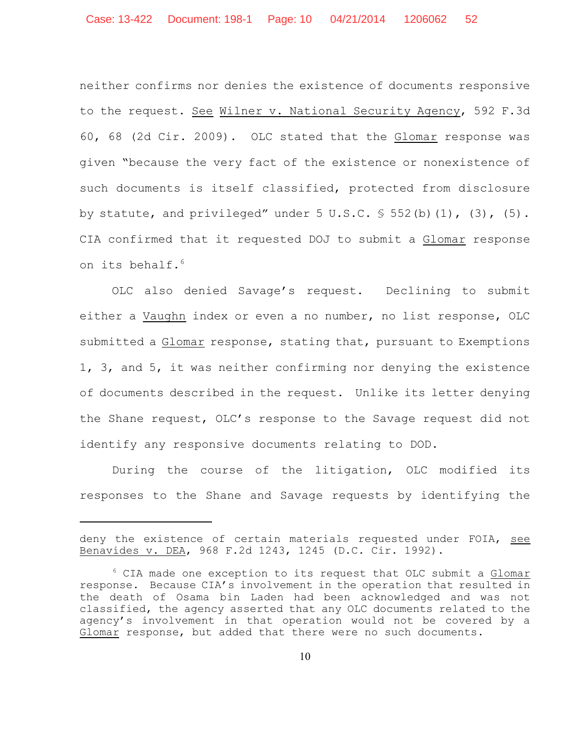neither confirms nor denies the existence of documents responsive to the request. See Wilner v. National Security Agency, 592 F.3d 60, 68 (2d Cir. 2009). OLC stated that the Glomar response was given "because the very fact of the existence or nonexistence of such documents is itself classified, protected from disclosure by statute, and privileged" under  $5 \text{ U.S.C. }$   $\text{\$ } 552 \text{ (b) (1)}$ ,  $\text{(3)}$ ,  $\text{(5)}$ . CIA confirmed that it requested DOJ to submit a Glomar response on its behalf.<sup>6</sup>

OLC also denied Savage's request. Declining to submit either a Vaughn index or even a no number, no list response, OLC submitted a Glomar response, stating that, pursuant to Exemptions 1, 3, and 5, it was neither confirming nor denying the existence of documents described in the request. Unlike its letter denying the Shane request, OLC's response to the Savage request did not identify any responsive documents relating to DOD.

During the course of the litigation, OLC modified its responses to the Shane and Savage requests by identifying the

deny the existence of certain materials requested under FOIA, see Benavides v. DEA, 968 F.2d 1243, 1245 (D.C. Cir. 1992).

 $6$  CIA made one exception to its request that OLC submit a Glomar response. Because CIA's involvement in the operation that resulted in the death of Osama bin Laden had been acknowledged and was not classified, the agency asserted that any OLC documents related to the agency's involvement in that operation would not be covered by a Glomar response, but added that there were no such documents.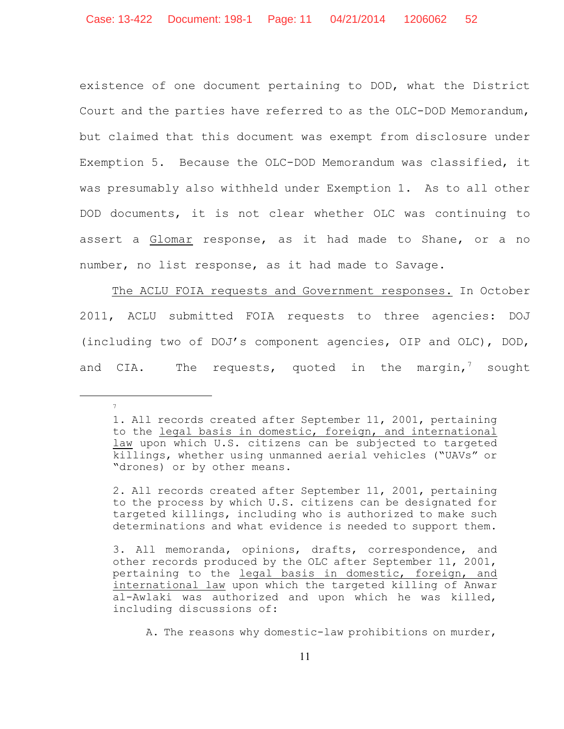existence of one document pertaining to DOD, what the District Court and the parties have referred to as the OLC-DOD Memorandum, but claimed that this document was exempt from disclosure under Exemption 5. Because the OLC-DOD Memorandum was classified, it was presumably also withheld under Exemption 1. As to all other DOD documents, it is not clear whether OLC was continuing to assert a Glomar response, as it had made to Shane, or a no number, no list response, as it had made to Savage.

The ACLU FOIA requests and Government responses. In October 2011, ACLU submitted FOIA requests to three agencies: DOJ (including two of DOJ's component agencies, OIP and OLC), DOD, and CIA. The requests, quoted in the margin,<sup>7</sup> sought

7

2. All records created after September 11, 2001, pertaining to the process by which U.S. citizens can be designated for targeted killings, including who is authorized to make such determinations and what evidence is needed to support them.

<sup>1.</sup> All records created after September 11, 2001, pertaining to the legal basis in domestic, foreign, and international law upon which U.S. citizens can be subjected to targeted killings, whether using unmanned aerial vehicles ("UAVs" or "drones) or by other means.

<sup>3.</sup> All memoranda, opinions, drafts, correspondence, and other records produced by the OLC after September 11, 2001, pertaining to the legal basis in domestic, foreign, and international law upon which the targeted killing of Anwar al-Awlaki was authorized and upon which he was killed, including discussions of:

A. The reasons why domestic-law prohibitions on murder,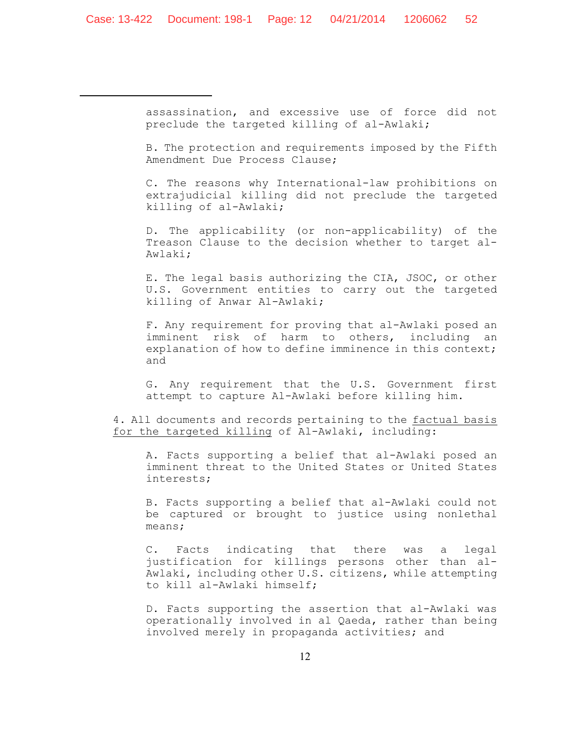assassination, and excessive use of force did not preclude the targeted killing of al-Awlaki;

B. The protection and requirements imposed by the Fifth Amendment Due Process Clause;

C. The reasons why International-law prohibitions on extrajudicial killing did not preclude the targeted killing of al-Awlaki;

D. The applicability (or non-applicability) of the Treason Clause to the decision whether to target al-Awlaki;

E. The legal basis authorizing the CIA, JSOC, or other U.S. Government entities to carry out the targeted killing of Anwar Al-Awlaki;

F. Any requirement for proving that al-Awlaki posed an imminent risk of harm to others, including an explanation of how to define imminence in this context; and

G. Any requirement that the U.S. Government first attempt to capture Al-Awlaki before killing him.

4. All documents and records pertaining to the factual basis for the targeted killing of Al-Awlaki, including:

A. Facts supporting a belief that al-Awlaki posed an imminent threat to the United States or United States interests;

B. Facts supporting a belief that al-Awlaki could not be captured or brought to justice using nonlethal means;

C. Facts indicating that there was a legal justification for killings persons other than al-Awlaki, including other U.S. citizens, while attempting to kill al-Awlaki himself;

D. Facts supporting the assertion that al-Awlaki was operationally involved in al Qaeda, rather than being involved merely in propaganda activities; and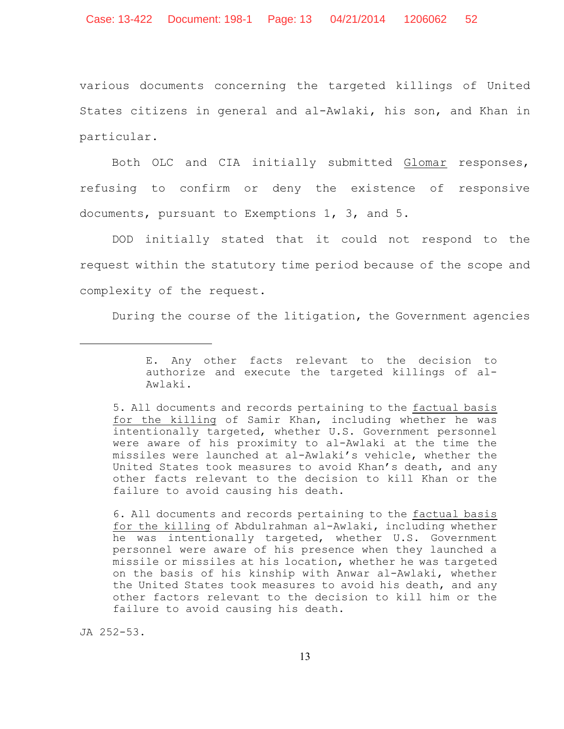various documents concerning the targeted killings of United States citizens in general and al-Awlaki, his son, and Khan in particular.

Both OLC and CIA initially submitted Glomar responses, refusing to confirm or deny the existence of responsive documents, pursuant to Exemptions 1, 3, and 5.

DOD initially stated that it could not respond to the request within the statutory time period because of the scope and complexity of the request.

During the course of the litigation, the Government agencies

5. All documents and records pertaining to the factual basis for the killing of Samir Khan, including whether he was intentionally targeted, whether U.S. Government personnel were aware of his proximity to al-Awlaki at the time the missiles were launched at al-Awlaki's vehicle, whether the United States took measures to avoid Khan's death, and any other facts relevant to the decision to kill Khan or the failure to avoid causing his death.

6. All documents and records pertaining to the factual basis for the killing of Abdulrahman al-Awlaki, including whether he was intentionally targeted, whether U.S. Government personnel were aware of his presence when they launched a missile or missiles at his location, whether he was targeted on the basis of his kinship with Anwar al-Awlaki, whether the United States took measures to avoid his death, and any other factors relevant to the decision to kill him or the failure to avoid causing his death.

JA 252-53.

E. Any other facts relevant to the decision to authorize and execute the targeted killings of al-Awlaki.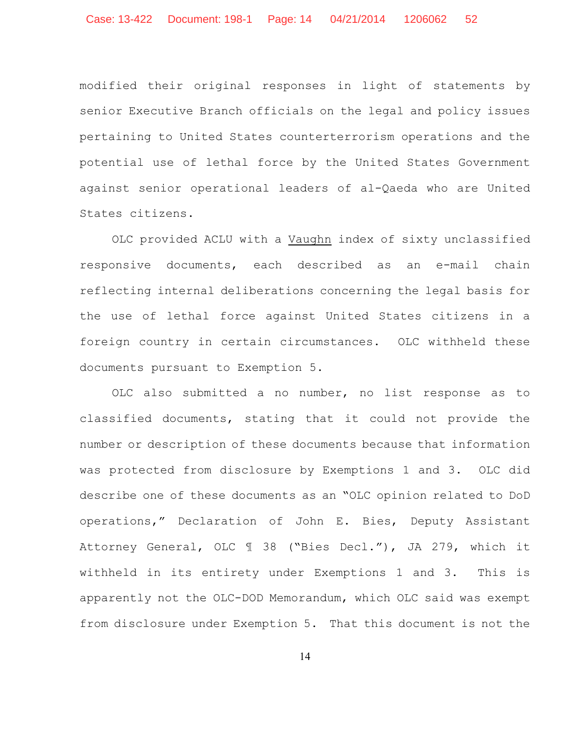modified their original responses in light of statements by senior Executive Branch officials on the legal and policy issues pertaining to United States counterterrorism operations and the potential use of lethal force by the United States Government against senior operational leaders of al-Qaeda who are United States citizens.

OLC provided ACLU with a Vaughn index of sixty unclassified responsive documents, each described as an e-mail chain reflecting internal deliberations concerning the legal basis for the use of lethal force against United States citizens in a foreign country in certain circumstances. OLC withheld these documents pursuant to Exemption 5.

OLC also submitted a no number, no list response as to classified documents, stating that it could not provide the number or description of these documents because that information was protected from disclosure by Exemptions 1 and 3. OLC did describe one of these documents as an "OLC opinion related to DoD operations," Declaration of John E. Bies, Deputy Assistant Attorney General, OLC ¶ 38 ("Bies Decl."), JA 279, which it withheld in its entirety under Exemptions 1 and 3. This is apparently not the OLC-DOD Memorandum, which OLC said was exempt from disclosure under Exemption 5. That this document is not the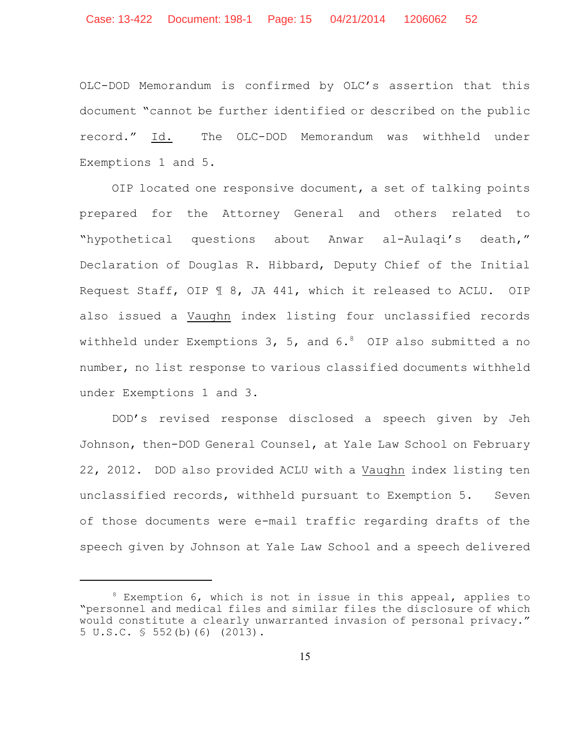Case: 13-422 Document: 198-1 Page: 15 04/21/2014 1206062 52

OLC-DOD Memorandum is confirmed by OLC's assertion that this document "cannot be further identified or described on the public record." Id. The OLC-DOD Memorandum was withheld under Exemptions 1 and 5.

OIP located one responsive document, a set of talking points prepared for the Attorney General and others related to "hypothetical questions about Anwar al-Aulaqi's death," Declaration of Douglas R. Hibbard, Deputy Chief of the Initial Request Staff, OIP ¶ 8, JA 441, which it released to ACLU. OIP also issued a Vaughn index listing four unclassified records withheld under Exemptions 3, 5, and  $6.^8$  OIP also submitted a no number, no list response to various classified documents withheld under Exemptions 1 and 3.

DOD's revised response disclosed a speech given by Jeh Johnson, then-DOD General Counsel, at Yale Law School on February 22, 2012. DOD also provided ACLU with a Vaughn index listing ten unclassified records, withheld pursuant to Exemption 5. Seven of those documents were e-mail traffic regarding drafts of the speech given by Johnson at Yale Law School and a speech delivered

 $8$  Exemption 6, which is not in issue in this appeal, applies to "personnel and medical files and similar files the disclosure of which would constitute a clearly unwarranted invasion of personal privacy." 5 U.S.C. § 552(b)(6) (2013).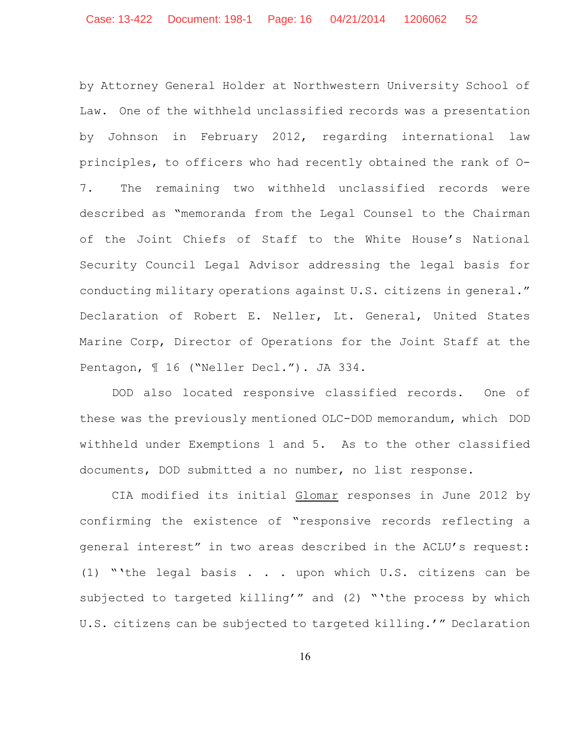by Attorney General Holder at Northwestern University School of Law. One of the withheld unclassified records was a presentation by Johnson in February 2012, regarding international law principles, to officers who had recently obtained the rank of O-7. The remaining two withheld unclassified records were described as "memoranda from the Legal Counsel to the Chairman of the Joint Chiefs of Staff to the White House's National Security Council Legal Advisor addressing the legal basis for conducting military operations against U.S. citizens in general." Declaration of Robert E. Neller, Lt. General, United States Marine Corp, Director of Operations for the Joint Staff at the Pentagon, ¶ 16 ("Neller Decl."). JA 334.

DOD also located responsive classified records. One of these was the previously mentioned OLC-DOD memorandum, which DOD withheld under Exemptions 1 and 5. As to the other classified documents, DOD submitted a no number, no list response.

CIA modified its initial Glomar responses in June 2012 by confirming the existence of "responsive records reflecting a general interest" in two areas described in the ACLU's request: (1) "'the legal basis . . . upon which U.S. citizens can be subjected to targeted killing'" and (2) "'the process by which U.S. citizens can be subjected to targeted killing.'" Declaration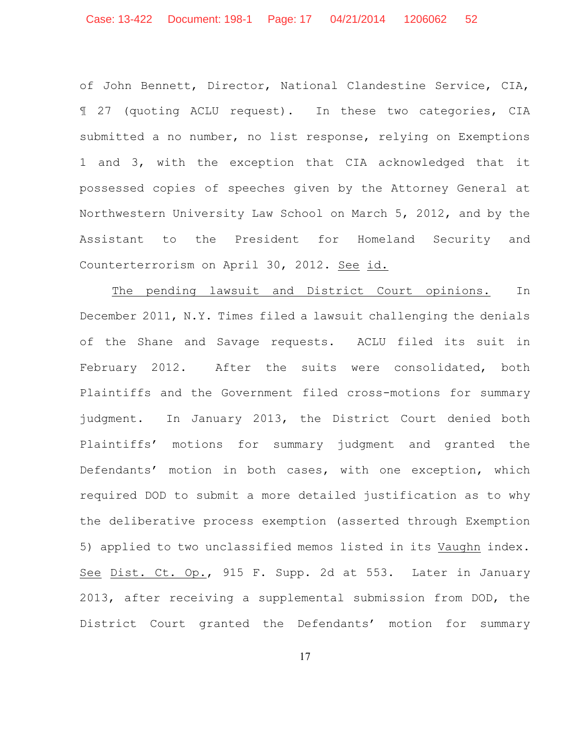of John Bennett, Director, National Clandestine Service, CIA, ¶ 27 (quoting ACLU request). In these two categories, CIA submitted a no number, no list response, relying on Exemptions 1 and 3, with the exception that CIA acknowledged that it possessed copies of speeches given by the Attorney General at Northwestern University Law School on March 5, 2012, and by the Assistant to the President for Homeland Security and Counterterrorism on April 30, 2012. See id.

The pending lawsuit and District Court opinions. In December 2011, N.Y. Times filed a lawsuit challenging the denials of the Shane and Savage requests. ACLU filed its suit in February 2012. After the suits were consolidated, both Plaintiffs and the Government filed cross-motions for summary judgment. In January 2013, the District Court denied both Plaintiffs' motions for summary judgment and granted the Defendants' motion in both cases, with one exception, which required DOD to submit a more detailed justification as to why the deliberative process exemption (asserted through Exemption 5) applied to two unclassified memos listed in its Vaughn index. See Dist. Ct. Op., 915 F. Supp. 2d at 553. Later in January 2013, after receiving a supplemental submission from DOD, the District Court granted the Defendants' motion for summary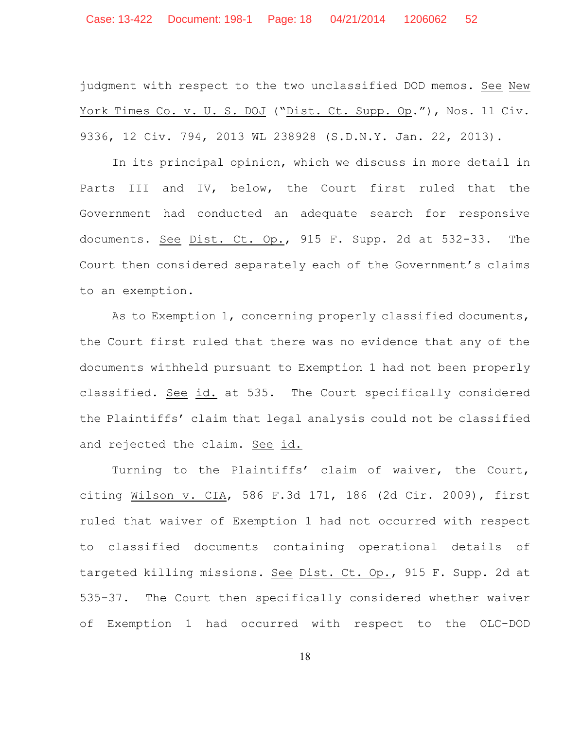judgment with respect to the two unclassified DOD memos. See New York Times Co. v. U. S. DOJ ("Dist. Ct. Supp. Op."), Nos. 11 Civ. 9336, 12 Civ. 794, 2013 WL 238928 (S.D.N.Y. Jan. 22, 2013).

In its principal opinion, which we discuss in more detail in Parts III and IV, below, the Court first ruled that the Government had conducted an adequate search for responsive documents. See Dist. Ct. Op., 915 F. Supp. 2d at 532-33. The Court then considered separately each of the Government's claims to an exemption.

As to Exemption 1, concerning properly classified documents, the Court first ruled that there was no evidence that any of the documents withheld pursuant to Exemption 1 had not been properly classified. See id. at 535. The Court specifically considered the Plaintiffs' claim that legal analysis could not be classified and rejected the claim. See id.

Turning to the Plaintiffs' claim of waiver, the Court, citing Wilson v. CIA, 586 F.3d 171, 186 (2d Cir. 2009), first ruled that waiver of Exemption 1 had not occurred with respect to classified documents containing operational details of targeted killing missions. See Dist. Ct. Op., 915 F. Supp. 2d at 535-37. The Court then specifically considered whether waiver of Exemption 1 had occurred with respect to the OLC-DOD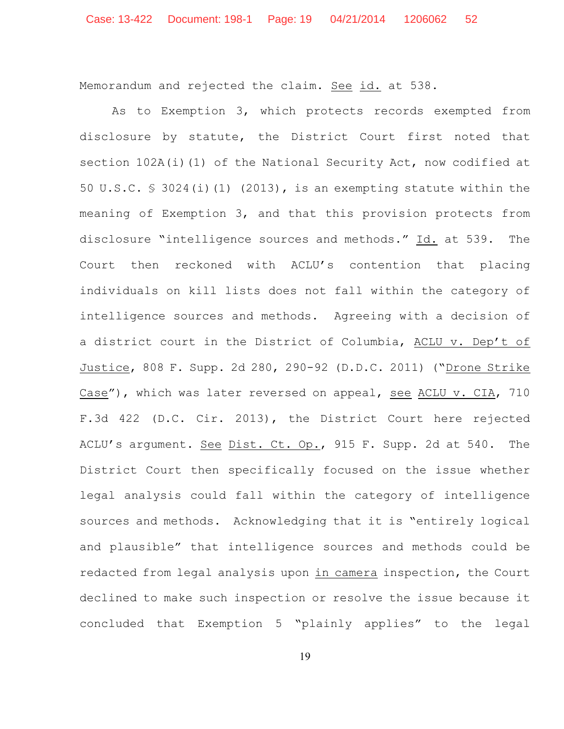Memorandum and rejected the claim. See id. at 538.

As to Exemption 3, which protects records exempted from disclosure by statute, the District Court first noted that section 102A(i)(1) of the National Security Act, now codified at 50 U.S.C. § 3024(i)(1) (2013), is an exempting statute within the meaning of Exemption 3, and that this provision protects from disclosure "intelligence sources and methods." Id. at 539. The Court then reckoned with ACLU's contention that placing individuals on kill lists does not fall within the category of intelligence sources and methods. Agreeing with a decision of a district court in the District of Columbia, ACLU v. Dep't of Justice, 808 F. Supp. 2d 280, 290-92 (D.D.C. 2011) ("Drone Strike Case"), which was later reversed on appeal, see ACLU v. CIA, 710 F.3d 422 (D.C. Cir. 2013), the District Court here rejected ACLU's argument. See Dist. Ct. Op., 915 F. Supp. 2d at 540. The District Court then specifically focused on the issue whether legal analysis could fall within the category of intelligence sources and methods. Acknowledging that it is "entirely logical and plausible" that intelligence sources and methods could be redacted from legal analysis upon in camera inspection, the Court declined to make such inspection or resolve the issue because it concluded that Exemption 5 "plainly applies" to the legal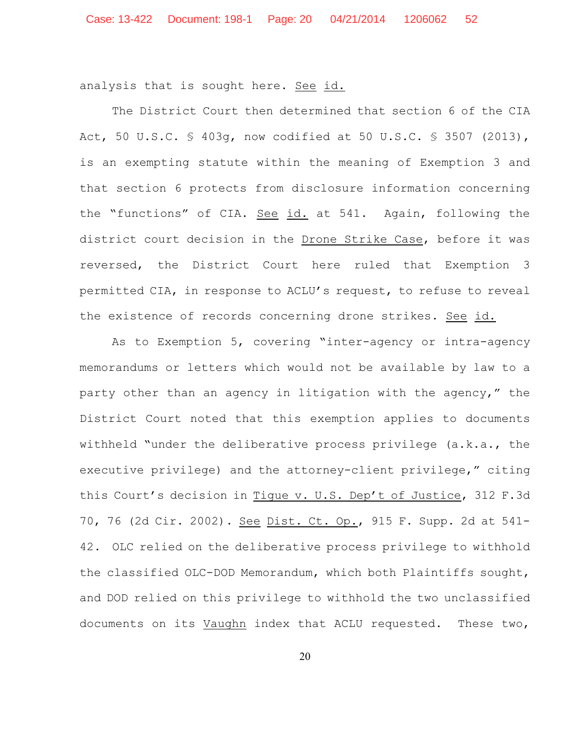analysis that is sought here. See id.

The District Court then determined that section 6 of the CIA Act, 50 U.S.C. § 403g, now codified at 50 U.S.C. § 3507 (2013), is an exempting statute within the meaning of Exemption 3 and that section 6 protects from disclosure information concerning the "functions" of CIA. See id. at 541. Again, following the district court decision in the Drone Strike Case, before it was reversed, the District Court here ruled that Exemption 3 permitted CIA, in response to ACLU's request, to refuse to reveal the existence of records concerning drone strikes. See id.

As to Exemption 5, covering "inter-agency or intra-agency memorandums or letters which would not be available by law to a party other than an agency in litigation with the agency," the District Court noted that this exemption applies to documents withheld "under the deliberative process privilege (a.k.a., the executive privilege) and the attorney-client privilege," citing this Court's decision in Tique v. U.S. Dep't of Justice, 312 F.3d 70, 76 (2d Cir. 2002). See Dist. Ct. Op., 915 F. Supp. 2d at 541- 42. OLC relied on the deliberative process privilege to withhold the classified OLC-DOD Memorandum, which both Plaintiffs sought, and DOD relied on this privilege to withhold the two unclassified documents on its Vaughn index that ACLU requested. These two,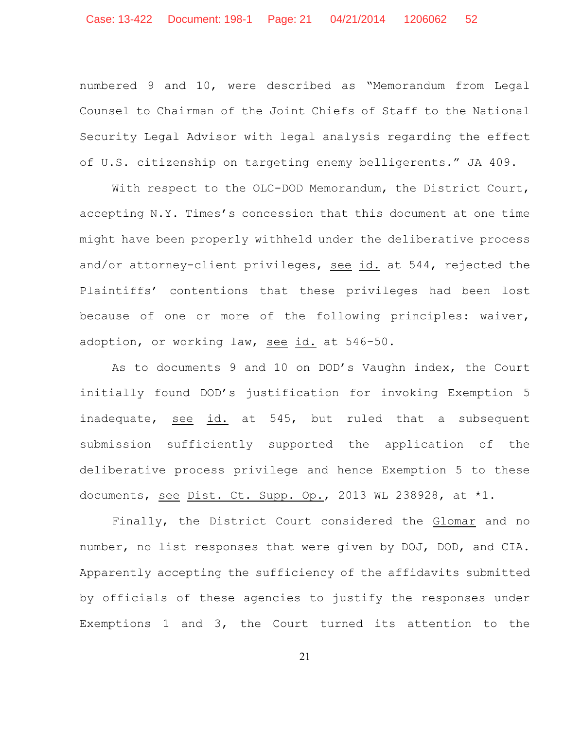Case: 13-422 Document: 198-1 Page: 21 04/21/2014 1206062 52

numbered 9 and 10, were described as "Memorandum from Legal Counsel to Chairman of the Joint Chiefs of Staff to the National Security Legal Advisor with legal analysis regarding the effect of U.S. citizenship on targeting enemy belligerents." JA 409.

With respect to the OLC-DOD Memorandum, the District Court, accepting N.Y. Times's concession that this document at one time might have been properly withheld under the deliberative process and/or attorney-client privileges, see id. at 544, rejected the Plaintiffs' contentions that these privileges had been lost because of one or more of the following principles: waiver, adoption, or working law, see id. at 546-50.

As to documents 9 and 10 on DOD's Vaughn index, the Court initially found DOD's justification for invoking Exemption 5 inadequate, see id. at 545, but ruled that a subsequent submission sufficiently supported the application of the deliberative process privilege and hence Exemption 5 to these documents, see Dist. Ct. Supp. Op., 2013 WL 238928, at  $*1$ .

Finally, the District Court considered the Glomar and no number, no list responses that were given by DOJ, DOD, and CIA. Apparently accepting the sufficiency of the affidavits submitted by officials of these agencies to justify the responses under Exemptions 1 and 3, the Court turned its attention to the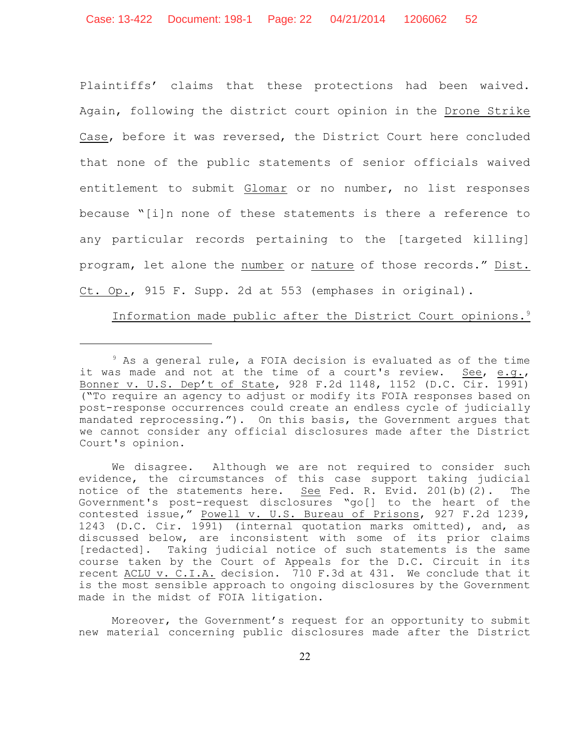Plaintiffs' claims that these protections had been waived. Again, following the district court opinion in the Drone Strike Case, before it was reversed, the District Court here concluded that none of the public statements of senior officials waived entitlement to submit Glomar or no number, no list responses because "[i]n none of these statements is there a reference to any particular records pertaining to the [targeted killing] program, let alone the number or nature of those records." Dist. Ct. Op., 915 F. Supp. 2d at 553 (emphases in original).

Information made public after the District Court opinions.<sup>9</sup>

 $9$  As a general rule, a FOIA decision is evaluated as of the time it was made and not at the time of a court's review. See, e.g., Bonner v. U.S. Dep't of State, 928 F.2d 1148, 1152 (D.C. Cir. 1991) ("To require an agency to adjust or modify its FOIA responses based on post-response occurrences could create an endless cycle of judicially mandated reprocessing."). On this basis, the Government argues that we cannot consider any official disclosures made after the District Court's opinion.

We disagree. Although we are not required to consider such evidence, the circumstances of this case support taking judicial notice of the statements here. See Fed. R. Evid. 201(b)(2). The Government's post-request disclosures "go[] to the heart of the contested issue," Powell v. U.S. Bureau of Prisons, 927 F.2d 1239, 1243 (D.C. Cir. 1991) (internal quotation marks omitted), and, as discussed below, are inconsistent with some of its prior claims [redacted]. Taking judicial notice of such statements is the same course taken by the Court of Appeals for the D.C. Circuit in its recent ACLU v. C.I.A. decision. 710 F.3d at 431. We conclude that it is the most sensible approach to ongoing disclosures by the Government made in the midst of FOIA litigation.

Moreover, the Government's request for an opportunity to submit new material concerning public disclosures made after the District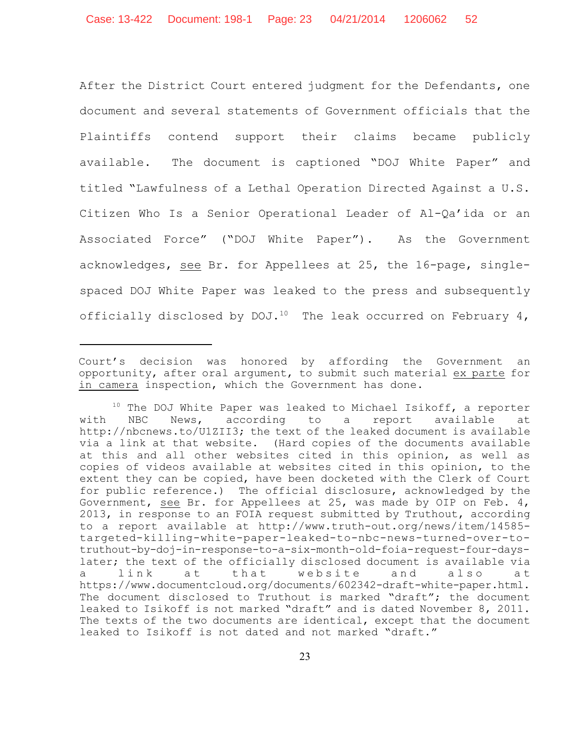After the District Court entered judgment for the Defendants, one document and several statements of Government officials that the Plaintiffs contend support their claims became publicly available. The document is captioned "DOJ White Paper" and titled "Lawfulness of a Lethal Operation Directed Against a U.S. Citizen Who Is a Senior Operational Leader of Al-Qa'ida or an Associated Force" ("DOJ White Paper"). As the Government acknowledges, see Br. for Appellees at 25, the 16-page, singlespaced DOJ White Paper was leaked to the press and subsequently officially disclosed by DOJ.<sup>10</sup> The leak occurred on February 4,

Court's decision was honored by affording the Government an opportunity, after oral argument, to submit such material ex parte for in camera inspection, which the Government has done.

 $10$  The DOJ White Paper was leaked to Michael Isikoff, a reporter with NBC News, according to a report available at http://nbcnews.to/U1ZII3; the text of the leaked document is available via a link at that website. (Hard copies of the documents available at this and all other websites cited in this opinion, as well as copies of videos available at websites cited in this opinion, to the extent they can be copied, have been docketed with the Clerk of Court for public reference.) The official disclosure, acknowledged by the Government, see Br. for Appellees at 25, was made by OIP on Feb. 4, 2013, in response to an FOIA request submitted by Truthout, according to a report available at http://www.truth-out.org/news/item/14585 targeted-killing-white-paper-leaked-to-nbc-news-turned-over-totruthout-by-doj-in-response-to-a-six-month-old-foia-request-four-dayslater; the text of the officially disclosed document is available via a link at that website and also at https://www.documentcloud.org/documents/602342-draft-white-paper.html. The document disclosed to Truthout is marked "draft"; the document leaked to Isikoff is not marked "draft" and is dated November 8, 2011. The texts of the two documents are identical, except that the document leaked to Isikoff is not dated and not marked "draft."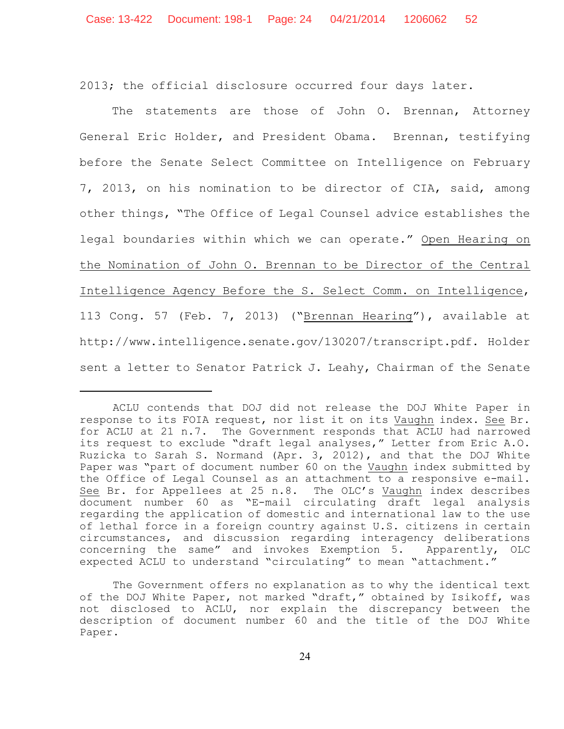2013; the official disclosure occurred four days later.

The statements are those of John O. Brennan, Attorney General Eric Holder, and President Obama. Brennan, testifying before the Senate Select Committee on Intelligence on February 7, 2013, on his nomination to be director of CIA, said, among other things, "The Office of Legal Counsel advice establishes the legal boundaries within which we can operate." Open Hearing on the Nomination of John O. Brennan to be Director of the Central Intelligence Agency Before the S. Select Comm. on Intelligence, 113 Cong. 57 (Feb. 7, 2013) ("Brennan Hearing"), available at http://www.intelligence.senate.gov/130207/transcript.pdf. Holder sent a letter to Senator Patrick J. Leahy, Chairman of the Senate

ACLU contends that DOJ did not release the DOJ White Paper in response to its FOIA request, nor list it on its Vaughn index. See Br. for ACLU at 21 n.7. The Government responds that ACLU had narrowed its request to exclude "draft legal analyses," Letter from Eric A.O. Ruzicka to Sarah S. Normand (Apr. 3, 2012), and that the DOJ White Paper was "part of document number 60 on the Vaughn index submitted by the Office of Legal Counsel as an attachment to a responsive e-mail. See Br. for Appellees at 25 n.8. The OLC's Vaughn index describes document number 60 as "E-mail circulating draft legal analysis regarding the application of domestic and international law to the use of lethal force in a foreign country against U.S. citizens in certain circumstances, and discussion regarding interagency deliberations concerning the same" and invokes Exemption 5. Apparently, OLC expected ACLU to understand "circulating" to mean "attachment."

The Government offers no explanation as to why the identical text of the DOJ White Paper, not marked "draft," obtained by Isikoff, was not disclosed to ACLU, nor explain the discrepancy between the description of document number 60 and the title of the DOJ White Paper.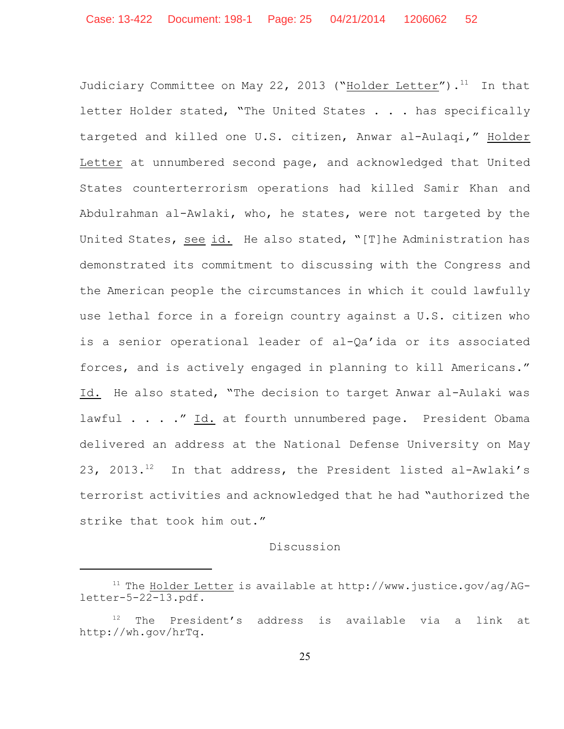Judiciary Committee on May 22, 2013 ("Holder Letter").<sup>11</sup> In that letter Holder stated, "The United States . . . has specifically targeted and killed one U.S. citizen, Anwar al-Aulaqi," Holder Letter at unnumbered second page, and acknowledged that United States counterterrorism operations had killed Samir Khan and Abdulrahman al-Awlaki, who, he states, were not targeted by the United States, see id. He also stated, "[T]he Administration has demonstrated its commitment to discussing with the Congress and the American people the circumstances in which it could lawfully use lethal force in a foreign country against a U.S. citizen who is a senior operational leader of al-Qa'ida or its associated forces, and is actively engaged in planning to kill Americans." Id. He also stated, "The decision to target Anwar al-Aulaki was lawful . . . ." Id. at fourth unnumbered page. President Obama delivered an address at the National Defense University on May 23, 2013. $^{12}$  In that address, the President listed al-Awlaki's terrorist activities and acknowledged that he had "authorized the strike that took him out."

## Discussion

 $11$  The Holder Letter is available at http://www.justice.gov/ag/AGletter-5-22-13.pdf.

 $12$  The President's address is available via a link at http://wh.gov/hrTq.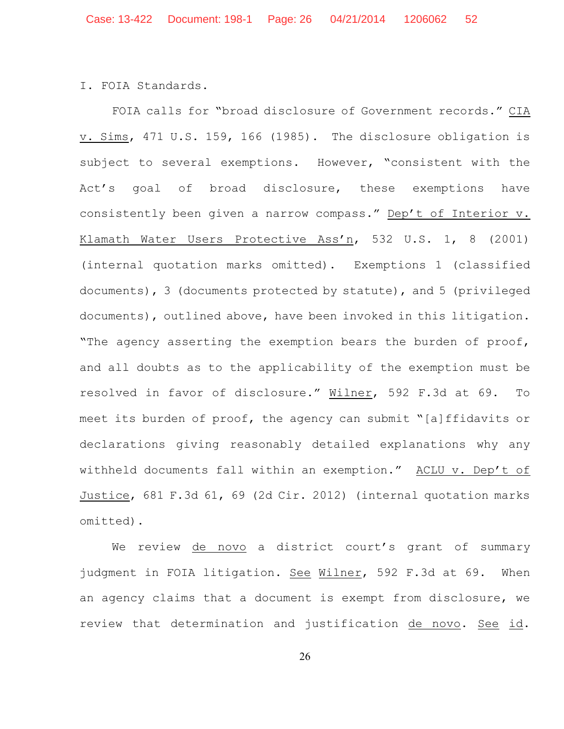I. FOIA Standards.

FOIA calls for "broad disclosure of Government records." CIA v. Sims, 471 U.S. 159, 166 (1985). The disclosure obligation is subject to several exemptions. However, "consistent with the Act's goal of broad disclosure, these exemptions have consistently been given a narrow compass." Dep't of Interior v. Klamath Water Users Protective Ass'n, 532 U.S. 1, 8 (2001) (internal quotation marks omitted). Exemptions 1 (classified documents), 3 (documents protected by statute), and 5 (privileged documents), outlined above, have been invoked in this litigation. "The agency asserting the exemption bears the burden of proof, and all doubts as to the applicability of the exemption must be resolved in favor of disclosure." Wilner, 592 F.3d at 69. To meet its burden of proof, the agency can submit "[a]ffidavits or declarations giving reasonably detailed explanations why any withheld documents fall within an exemption." ACLU v. Dep't of Justice, 681 F.3d 61, 69 (2d Cir. 2012) (internal quotation marks omitted).

We review de novo a district court's grant of summary judgment in FOIA litigation. See Wilner, 592 F.3d at 69. When an agency claims that a document is exempt from disclosure, we review that determination and justification de novo. See id.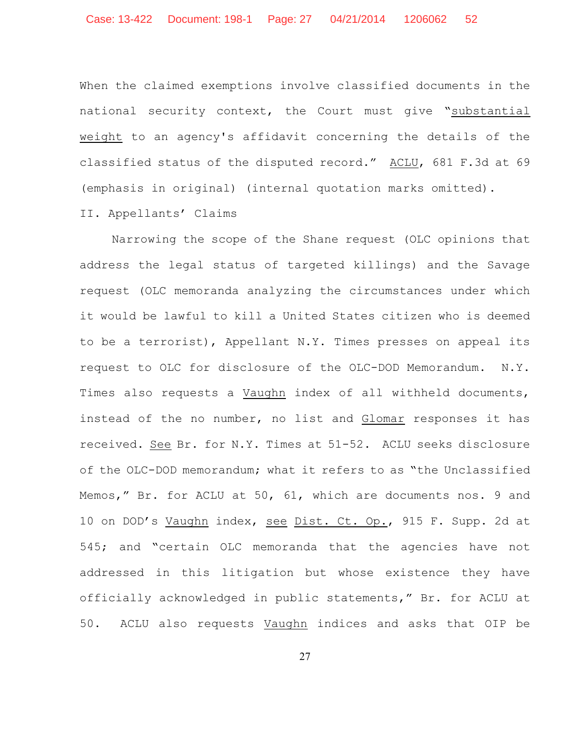When the claimed exemptions involve classified documents in the national security context, the Court must give "substantial weight to an agency's affidavit concerning the details of the classified status of the disputed record." ACLU, 681 F.3d at 69 (emphasis in original) (internal quotation marks omitted).

## II. Appellants' Claims

Narrowing the scope of the Shane request (OLC opinions that address the legal status of targeted killings) and the Savage request (OLC memoranda analyzing the circumstances under which it would be lawful to kill a United States citizen who is deemed to be a terrorist), Appellant N.Y. Times presses on appeal its request to OLC for disclosure of the OLC-DOD Memorandum. N.Y. Times also requests a Vaughn index of all withheld documents, instead of the no number, no list and Glomar responses it has received. See Br. for N.Y. Times at 51-52. ACLU seeks disclosure of the OLC-DOD memorandum; what it refers to as "the Unclassified Memos," Br. for ACLU at 50, 61, which are documents nos. 9 and 10 on DOD's Vaughn index, see Dist. Ct. Op., 915 F. Supp. 2d at 545; and "certain OLC memoranda that the agencies have not addressed in this litigation but whose existence they have officially acknowledged in public statements," Br. for ACLU at 50. ACLU also requests Vaughn indices and asks that OIP be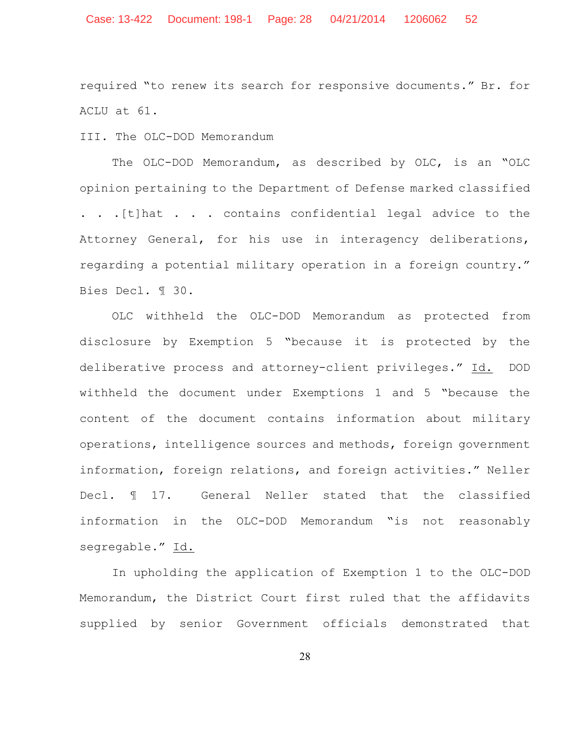required "to renew its search for responsive documents." Br. for ACLU at 61.

III. The OLC-DOD Memorandum

The OLC-DOD Memorandum, as described by OLC, is an "OLC opinion pertaining to the Department of Defense marked classified . . .[t]hat . . . contains confidential legal advice to the Attorney General, for his use in interagency deliberations, regarding a potential military operation in a foreign country." Bies Decl. ¶ 30.

OLC withheld the OLC-DOD Memorandum as protected from disclosure by Exemption 5 "because it is protected by the deliberative process and attorney-client privileges." Id. DOD withheld the document under Exemptions 1 and 5 "because the content of the document contains information about military operations, intelligence sources and methods, foreign government information, foreign relations, and foreign activities." Neller Decl. ¶ 17. General Neller stated that the classified information in the OLC-DOD Memorandum "is not reasonably segregable." Id.

In upholding the application of Exemption 1 to the OLC-DOD Memorandum, the District Court first ruled that the affidavits supplied by senior Government officials demonstrated that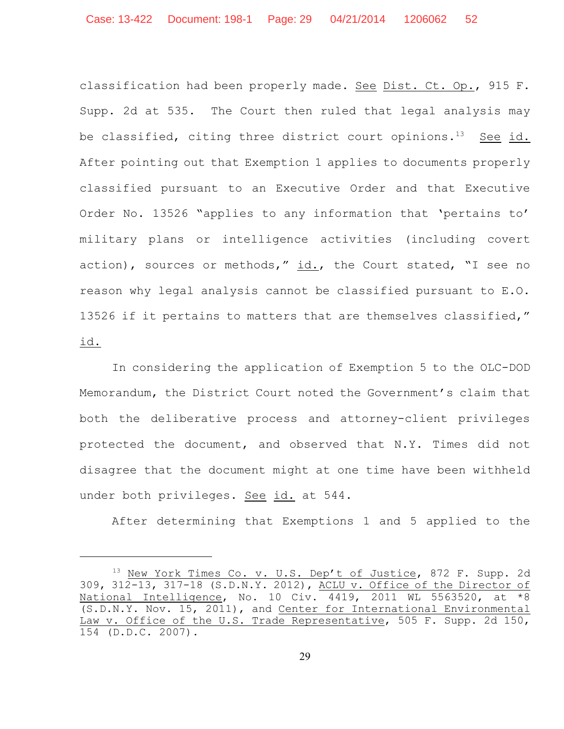classification had been properly made. See Dist. Ct. Op., 915 F. Supp. 2d at 535. The Court then ruled that legal analysis may be classified, citing three district court opinions.<sup>13</sup> See id. After pointing out that Exemption 1 applies to documents properly classified pursuant to an Executive Order and that Executive Order No. 13526 "applies to any information that 'pertains to' military plans or intelligence activities (including covert action), sources or methods," id., the Court stated, "I see no reason why legal analysis cannot be classified pursuant to E.O. 13526 if it pertains to matters that are themselves classified," id.

In considering the application of Exemption 5 to the OLC-DOD Memorandum, the District Court noted the Government's claim that both the deliberative process and attorney-client privileges protected the document, and observed that N.Y. Times did not disagree that the document might at one time have been withheld under both privileges. See id. at 544.

After determining that Exemptions 1 and 5 applied to the

<sup>&</sup>lt;sup>13</sup> New York Times Co. v. U.S. Dep't of Justice, 872 F. Supp. 2d 309, 312-13, 317-18 (S.D.N.Y. 2012), ACLU v. Office of the Director of National Intelligence, No. 10 Civ. 4419, 2011 WL 5563520, at \*8 (S.D.N.Y. Nov. 15, 2011), and Center for International Environmental Law v. Office of the U.S. Trade Representative, 505 F. Supp. 2d 150, 154 (D.D.C. 2007).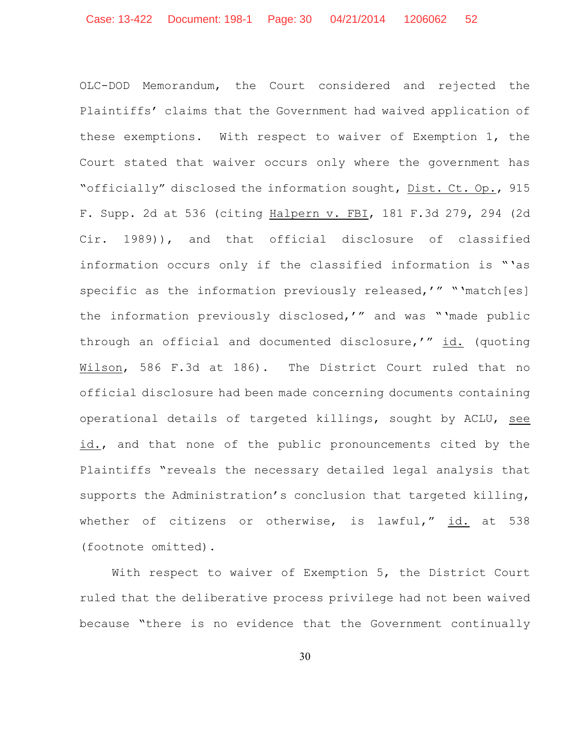OLC-DOD Memorandum, the Court considered and rejected the Plaintiffs' claims that the Government had waived application of these exemptions. With respect to waiver of Exemption 1, the Court stated that waiver occurs only where the government has "officially" disclosed the information sought, Dist. Ct. Op., 915 F. Supp. 2d at 536 (citing Halpern v. FBI, 181 F.3d 279, 294 (2d Cir. 1989)), and that official disclosure of classified information occurs only if the classified information is "'as specific as the information previously released,'" "'match[es] the information previously disclosed,'" and was "'made public through an official and documented disclosure,'" id. (quoting Wilson, 586 F.3d at 186). The District Court ruled that no official disclosure had been made concerning documents containing operational details of targeted killings, sought by ACLU, see id., and that none of the public pronouncements cited by the Plaintiffs "reveals the necessary detailed legal analysis that supports the Administration's conclusion that targeted killing, whether of citizens or otherwise, is lawful," id. at 538 (footnote omitted).

With respect to waiver of Exemption 5, the District Court ruled that the deliberative process privilege had not been waived because "there is no evidence that the Government continually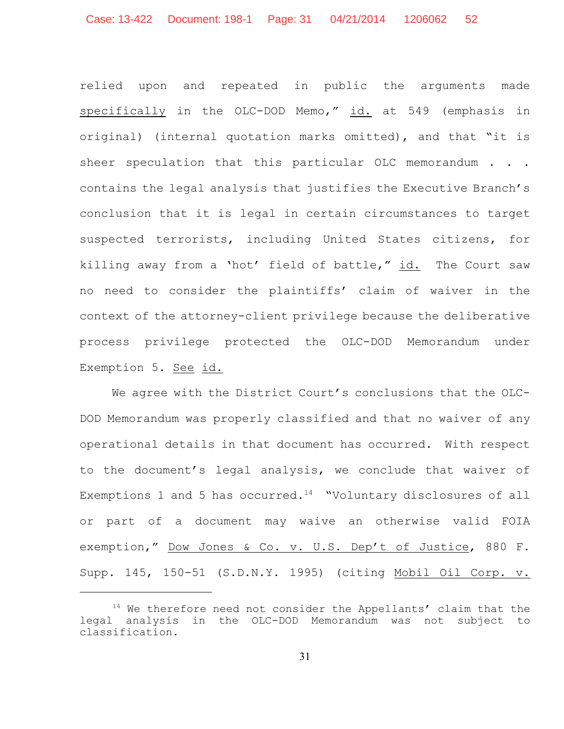relied upon and repeated in public the arguments made specifically in the OLC-DOD Memo," id. at 549 (emphasis in original) (internal quotation marks omitted), and that "it is sheer speculation that this particular OLC memorandum . . . contains the legal analysis that justifies the Executive Branch's conclusion that it is legal in certain circumstances to target suspected terrorists, including United States citizens, for killing away from a 'hot' field of battle," id. The Court saw no need to consider the plaintiffs' claim of waiver in the context of the attorney-client privilege because the deliberative process privilege protected the OLC-DOD Memorandum under Exemption 5. See id.

We agree with the District Court's conclusions that the OLC-DOD Memorandum was properly classified and that no waiver of any operational details in that document has occurred. With respect to the document's legal analysis, we conclude that waiver of Exemptions 1 and 5 has occurred.<sup>14</sup> "Voluntary disclosures of all or part of a document may waive an otherwise valid FOIA exemption," Dow Jones & Co. v. U.S. Dep't of Justice, 880 F. Supp. 145, 150-51 (S.D.N.Y. 1995) (citing Mobil Oil Corp. v.

 $14$  We therefore need not consider the Appellants' claim that the legal analysis in the OLC-DOD Memorandum was not subject to classification.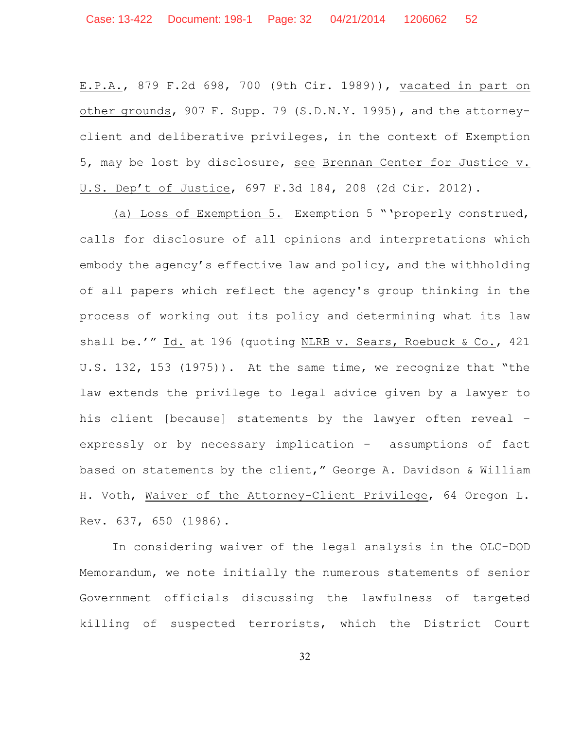E.P.A., 879 F.2d 698, 700 (9th Cir. 1989)), vacated in part on other grounds, 907 F. Supp. 79 (S.D.N.Y. 1995), and the attorneyclient and deliberative privileges, in the context of Exemption 5, may be lost by disclosure, see Brennan Center for Justice v. U.S. Dep't of Justice, 697 F.3d 184, 208 (2d Cir. 2012).

(a) Loss of Exemption 5. Exemption 5 "'properly construed, calls for disclosure of all opinions and interpretations which embody the agency's effective law and policy, and the withholding of all papers which reflect the agency's group thinking in the process of working out its policy and determining what its law shall be.'" Id. at 196 (quoting NLRB v. Sears, Roebuck & Co., 421 U.S. 132, 153 (1975)). At the same time, we recognize that "the law extends the privilege to legal advice given by a lawyer to his client [because] statements by the lawyer often reveal – expressly or by necessary implication – assumptions of fact based on statements by the client," George A. Davidson & William H. Voth, Waiver of the Attorney-Client Privilege, 64 Oregon L. Rev. 637, 650 (1986).

In considering waiver of the legal analysis in the OLC-DOD Memorandum, we note initially the numerous statements of senior Government officials discussing the lawfulness of targeted killing of suspected terrorists, which the District Court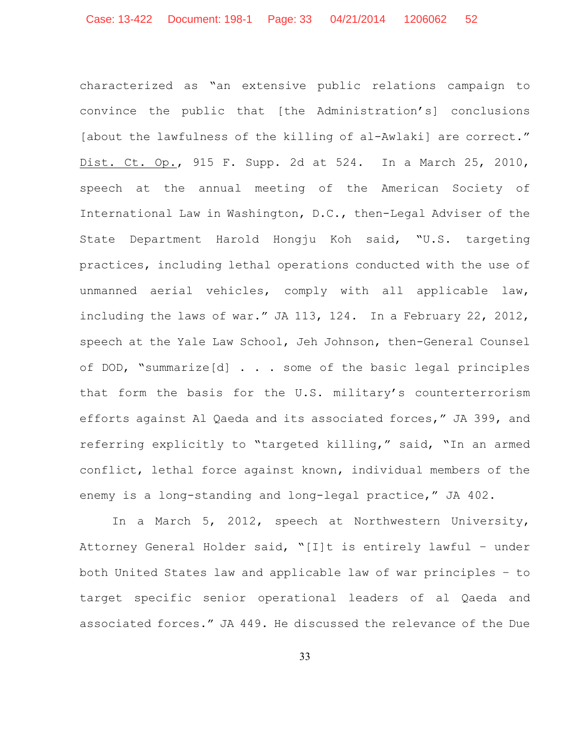characterized as "an extensive public relations campaign to convince the public that [the Administration's] conclusions [about the lawfulness of the killing of al-Awlaki] are correct." Dist. Ct. Op., 915 F. Supp. 2d at 524. In a March 25, 2010, speech at the annual meeting of the American Society of International Law in Washington, D.C., then-Legal Adviser of the State Department Harold Hongju Koh said, "U.S. targeting practices, including lethal operations conducted with the use of unmanned aerial vehicles, comply with all applicable law, including the laws of war." JA 113, 124. In a February 22, 2012, speech at the Yale Law School, Jeh Johnson, then-General Counsel of DOD, "summarize[d] . . . some of the basic legal principles that form the basis for the U.S. military's counterterrorism efforts against Al Qaeda and its associated forces," JA 399, and referring explicitly to "targeted killing," said, "In an armed conflict, lethal force against known, individual members of the enemy is a long-standing and long-legal practice," JA 402.

In a March 5, 2012, speech at Northwestern University, Attorney General Holder said, "[I]t is entirely lawful – under both United States law and applicable law of war principles – to target specific senior operational leaders of al Qaeda and associated forces." JA 449. He discussed the relevance of the Due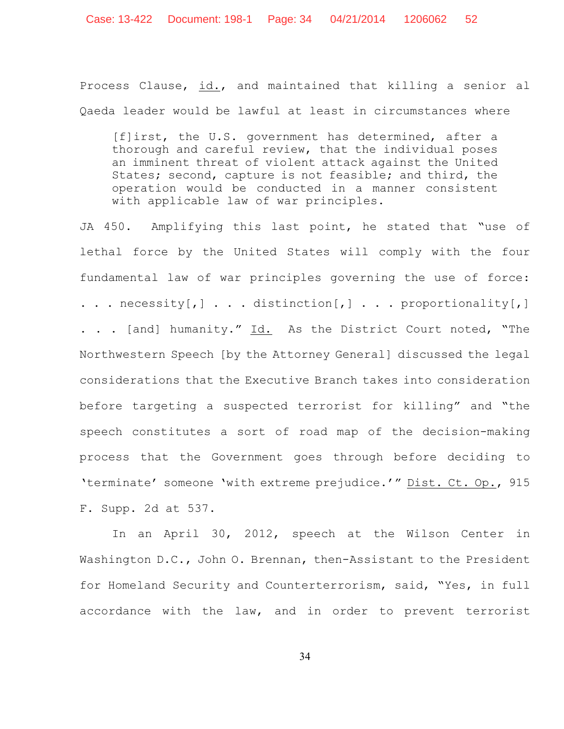Process Clause, id., and maintained that killing a senior al Qaeda leader would be lawful at least in circumstances where

[f]irst, the U.S. government has determined, after a thorough and careful review, that the individual poses an imminent threat of violent attack against the United States; second, capture is not feasible; and third, the operation would be conducted in a manner consistent with applicable law of war principles.

JA 450. Amplifying this last point, he stated that "use of lethal force by the United States will comply with the four fundamental law of war principles governing the use of force:  $\ldots$  necessity[,]  $\ldots$  distinction[,]  $\ldots$  proportionality[,] . . . [and] humanity." Id. As the District Court noted, "The Northwestern Speech [by the Attorney General] discussed the legal considerations that the Executive Branch takes into consideration before targeting a suspected terrorist for killing" and "the speech constitutes a sort of road map of the decision-making process that the Government goes through before deciding to 'terminate' someone 'with extreme prejudice.'" Dist. Ct. Op., 915 F. Supp. 2d at 537.

In an April 30, 2012, speech at the Wilson Center in Washington D.C., John O. Brennan, then-Assistant to the President for Homeland Security and Counterterrorism, said, "Yes, in full accordance with the law, and in order to prevent terrorist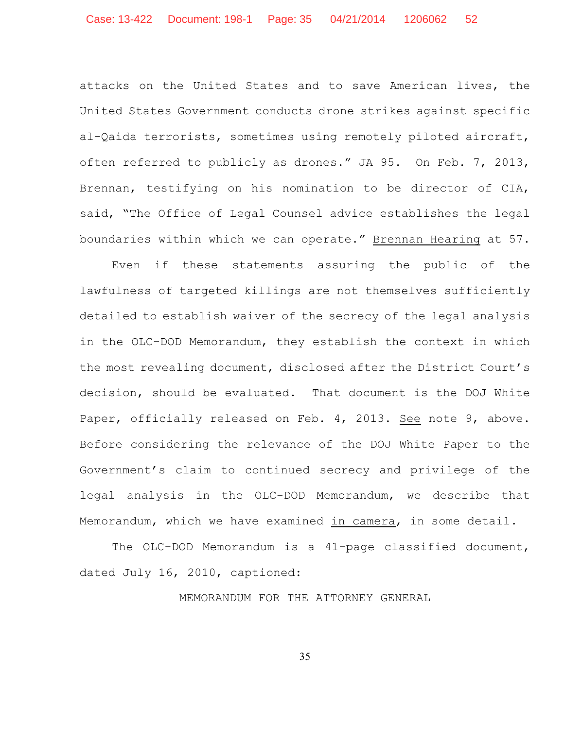attacks on the United States and to save American lives, the United States Government conducts drone strikes against specific al-Qaida terrorists, sometimes using remotely piloted aircraft, often referred to publicly as drones." JA 95. On Feb. 7, 2013, Brennan, testifying on his nomination to be director of CIA, said, "The Office of Legal Counsel advice establishes the legal boundaries within which we can operate." Brennan Hearing at 57.

Even if these statements assuring the public of the lawfulness of targeted killings are not themselves sufficiently detailed to establish waiver of the secrecy of the legal analysis in the OLC-DOD Memorandum, they establish the context in which the most revealing document, disclosed after the District Court's decision, should be evaluated. That document is the DOJ White Paper, officially released on Feb. 4, 2013. See note 9, above. Before considering the relevance of the DOJ White Paper to the Government's claim to continued secrecy and privilege of the legal analysis in the OLC-DOD Memorandum, we describe that Memorandum, which we have examined in camera, in some detail.

The OLC-DOD Memorandum is a 41-page classified document, dated July 16, 2010, captioned:

MEMORANDUM FOR THE ATTORNEY GENERAL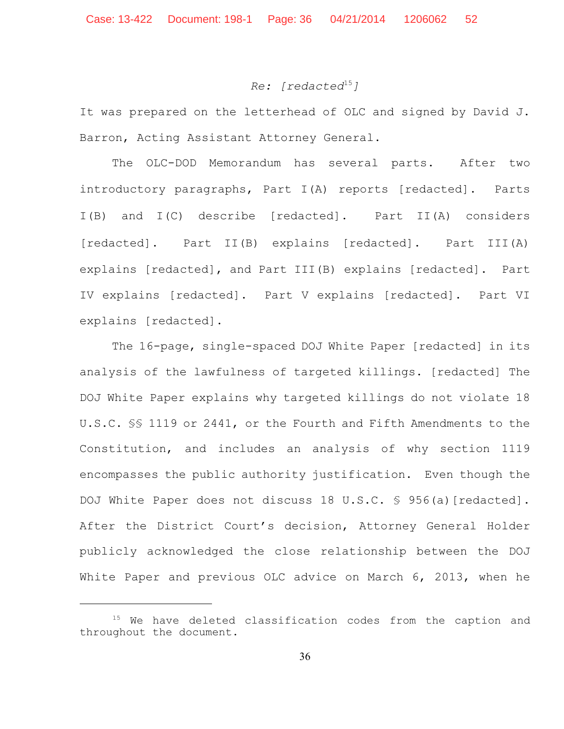# *Re:* [redacted<sup>15</sup>]

It was prepared on the letterhead of OLC and signed by David J. Barron, Acting Assistant Attorney General.

The OLC-DOD Memorandum has several parts. After two introductory paragraphs, Part I(A) reports [redacted]**.** Parts I(B) and I(C) describe [redacted]**.** Part II(A) considers [redacted]**.** Part II(B) explains [redacted]. Part III(A) explains [redacted], and Part III(B) explains [redacted]. Part IV explains [redacted]. Part V explains [redacted]. Part VI explains [redacted].

The 16-page, single-spaced DOJ White Paper [redacted] in its analysis of the lawfulness of targeted killings. [redacted] The DOJ White Paper explains why targeted killings do not violate 18 U.S.C. §§ 1119 or 2441, or the Fourth and Fifth Amendments to the Constitution, and includes an analysis of why section 1119 encompasses the public authority justification. Even though the DOJ White Paper does not discuss 18 U.S.C. § 956(a) [redacted]. After the District Court's decision, Attorney General Holder publicly acknowledged the close relationship between the DOJ White Paper and previous OLC advice on March 6, 2013, when he

 $15$  We have deleted classification codes from the caption and throughout the document.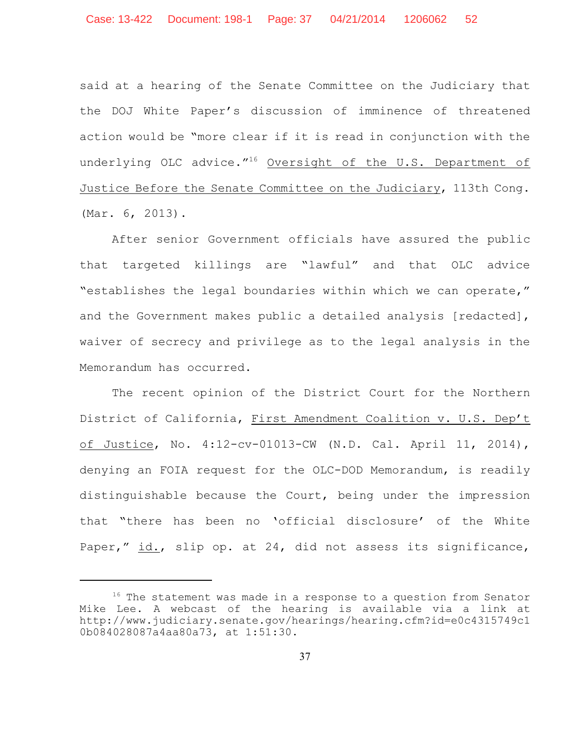said at a hearing of the Senate Committee on the Judiciary that the DOJ White Paper's discussion of imminence of threatened action would be "more clear if it is read in conjunction with the underlying OLC advice."<sup>16</sup> Oversight of the U.S. Department of Justice Before the Senate Committee on the Judiciary, 113th Cong. (Mar. 6, 2013).

After senior Government officials have assured the public that targeted killings are "lawful" and that OLC advice "establishes the legal boundaries within which we can operate," and the Government makes public a detailed analysis [redacted], waiver of secrecy and privilege as to the legal analysis in the Memorandum has occurred.

The recent opinion of the District Court for the Northern District of California, First Amendment Coalition v. U.S. Dep't of Justice, No. 4:12-cv-01013-CW (N.D. Cal. April 11, 2014), denying an FOIA request for the OLC-DOD Memorandum, is readily distinguishable because the Court, being under the impression that "there has been no 'official disclosure' of the White Paper," id., slip op. at 24, did not assess its significance,

 $16$  The statement was made in a response to a question from Senator Mike Lee. A webcast of the hearing is available via a link at http://www.judiciary.senate.gov/hearings/hearing.cfm?id=e0c4315749c1 0b084028087a4aa80a73, at 1:51:30.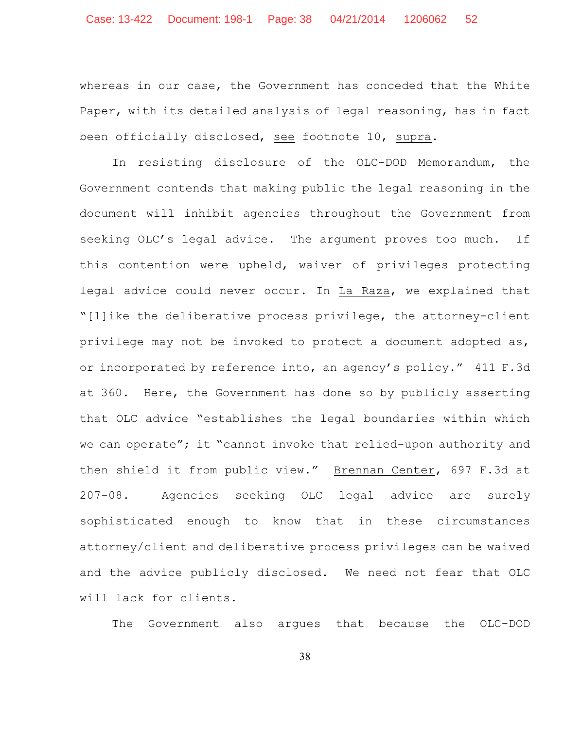whereas in our case, the Government has conceded that the White Paper, with its detailed analysis of legal reasoning, has in fact been officially disclosed, see footnote 10, supra.

In resisting disclosure of the OLC-DOD Memorandum, the Government contends that making public the legal reasoning in the document will inhibit agencies throughout the Government from seeking OLC's legal advice. The argument proves too much. If this contention were upheld, waiver of privileges protecting legal advice could never occur. In La Raza, we explained that "[l]ike the deliberative process privilege, the attorney-client privilege may not be invoked to protect a document adopted as, or incorporated by reference into, an agency's policy." 411 F.3d at 360. Here, the Government has done so by publicly asserting that OLC advice "establishes the legal boundaries within which we can operate"; it "cannot invoke that relied-upon authority and then shield it from public view." Brennan Center, 697 F.3d at 207-08. Agencies seeking OLC legal advice are surely sophisticated enough to know that in these circumstances attorney/client and deliberative process privileges can be waived and the advice publicly disclosed. We need not fear that OLC will lack for clients.

The Government also argues that because the OLC-DOD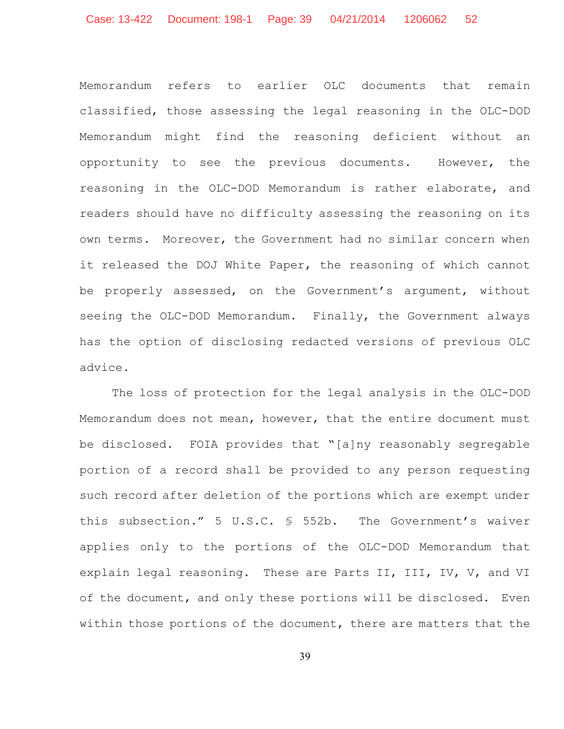Memorandum refers to earlier OLC documents that remain classified, those assessing the legal reasoning in the OLC-DOD Memorandum might find the reasoning deficient without an opportunity to see the previous documents. However, the reasoning in the OLC-DOD Memorandum is rather elaborate, and readers should have no difficulty assessing the reasoning on its own terms. Moreover, the Government had no similar concern when it released the DOJ White Paper, the reasoning of which cannot be properly assessed, on the Government's argument, without seeing the OLC-DOD Memorandum. Finally, the Government always has the option of disclosing redacted versions of previous OLC advice.

The loss of protection for the legal analysis in the OLC-DOD Memorandum does not mean, however, that the entire document must be disclosed. FOIA provides that "[a]ny reasonably segregable portion of a record shall be provided to any person requesting such record after deletion of the portions which are exempt under this subsection." 5 U.S.C. § 552b. The Government's waiver applies only to the portions of the OLC-DOD Memorandum that explain legal reasoning. These are Parts II, III, IV, V, and VI of the document, and only these portions will be disclosed. Even within those portions of the document, there are matters that the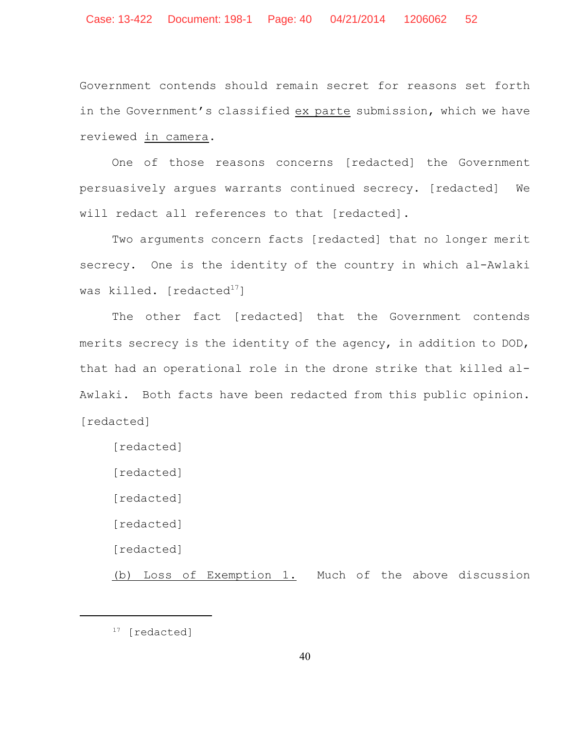Government contends should remain secret for reasons set forth in the Government's classified ex parte submission, which we have reviewed in camera.

One of those reasons concerns [redacted] the Government persuasively argues warrants continued secrecy. [redacted] We will redact all references to that [redacted].

Two arguments concern facts [redacted] that no longer merit secrecy. One is the identity of the country in which al-Awlaki was killed. [redacted $^{17}$ ]

The other fact [redacted] that the Government contends merits secrecy is the identity of the agency, in addition to DOD, that had an operational role in the drone strike that killed al-Awlaki. Both facts have been redacted from this public opinion. [redacted]

[redacted]

[redacted]

[redacted]

[redacted]

[redacted]

(b) Loss of Exemption 1. Much of the above discussion

 $17$  [redacted]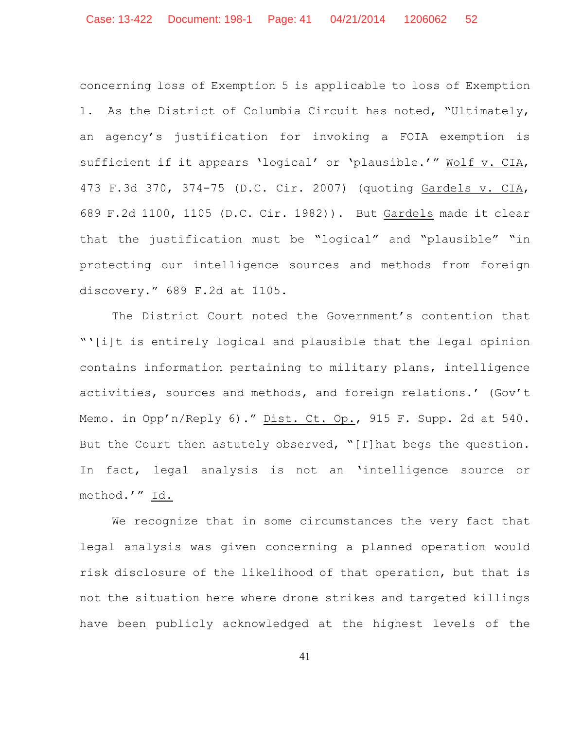concerning loss of Exemption 5 is applicable to loss of Exemption 1. As the District of Columbia Circuit has noted, "Ultimately, an agency's justification for invoking a FOIA exemption is sufficient if it appears 'logical' or 'plausible.'" Wolf v. CIA, 473 F.3d 370, 374-75 (D.C. Cir. 2007) (quoting Gardels v. CIA, 689 F.2d 1100, 1105 (D.C. Cir. 1982)). But Gardels made it clear that the justification must be "logical" and "plausible" "in protecting our intelligence sources and methods from foreign discovery." 689 F.2d at 1105.

The District Court noted the Government's contention that "'[i]t is entirely logical and plausible that the legal opinion contains information pertaining to military plans, intelligence activities, sources and methods, and foreign relations.' (Gov't Memo. in Opp'n/Reply 6)." Dist. Ct. Op., 915 F. Supp. 2d at 540. But the Court then astutely observed, "[T]hat begs the question. In fact, legal analysis is not an 'intelligence source or method.'" Id.

We recognize that in some circumstances the very fact that legal analysis was given concerning a planned operation would risk disclosure of the likelihood of that operation, but that is not the situation here where drone strikes and targeted killings have been publicly acknowledged at the highest levels of the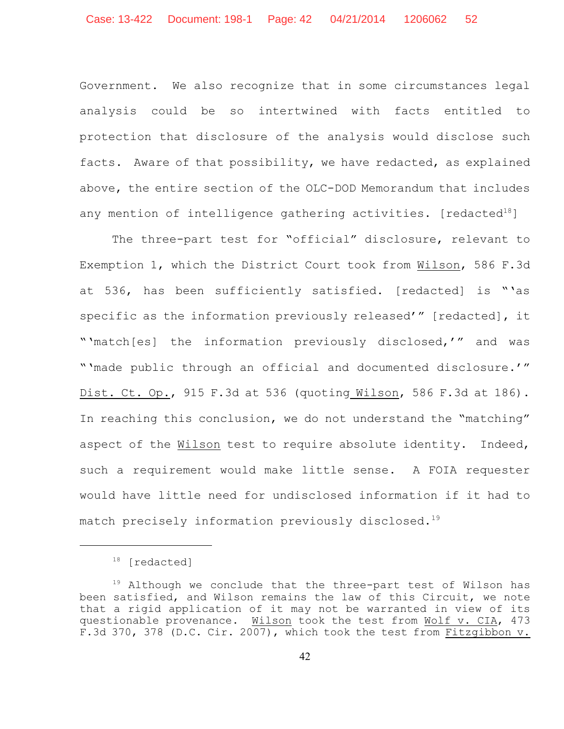Government. We also recognize that in some circumstances legal analysis could be so intertwined with facts entitled to protection that disclosure of the analysis would disclose such facts. Aware of that possibility, we have redacted, as explained above, the entire section of the OLC-DOD Memorandum that includes any mention of intelligence gathering activities. [redacted $^{18}$ ]

The three-part test for "official" disclosure, relevant to Exemption 1, which the District Court took from Wilson, 586 F.3d at 536, has been sufficiently satisfied. [redacted] is "'as specific as the information previously released'" [redacted], it "'match[es] the information previously disclosed,'" and was "'made public through an official and documented disclosure.'" Dist. Ct. Op., 915 F.3d at 536 (quoting Wilson, 586 F.3d at 186). In reaching this conclusion, we do not understand the "matching" aspect of the Wilson test to require absolute identity. Indeed, such a requirement would make little sense. A FOIA requester would have little need for undisclosed information if it had to match precisely information previously disclosed.<sup>19</sup>

 $18$  [redacted]

 $19$  Although we conclude that the three-part test of Wilson has been satisfied, and Wilson remains the law of this Circuit, we note that a rigid application of it may not be warranted in view of its questionable provenance. Wilson took the test from Wolf v. CIA, 473 F.3d 370, 378 (D.C. Cir. 2007), which took the test from Fitzgibbon v.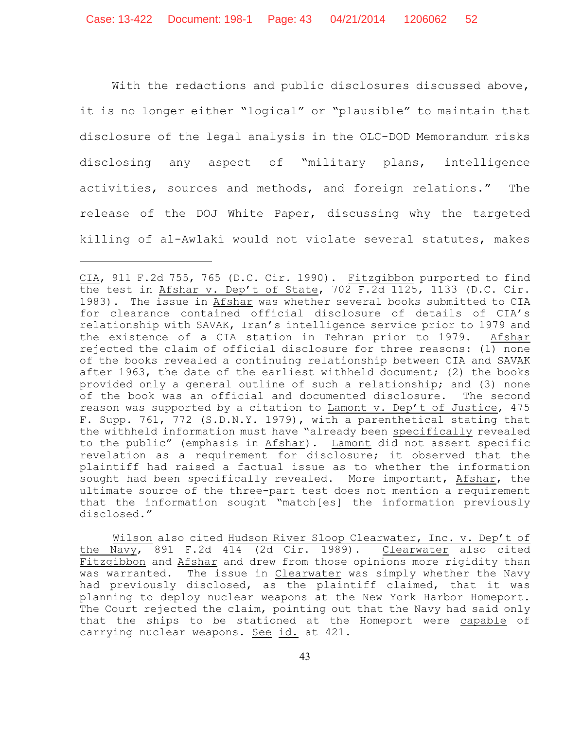With the redactions and public disclosures discussed above, it is no longer either "logical" or "plausible" to maintain that disclosure of the legal analysis in the OLC-DOD Memorandum risks disclosing any aspect of "military plans, intelligence activities, sources and methods, and foreign relations." The release of the DOJ White Paper, discussing why the targeted killing of al-Awlaki would not violate several statutes, makes

Wilson also cited Hudson River Sloop Clearwater, Inc. v. Dep't of the Navy, 891 F.2d 414 (2d Cir. 1989). Clearwater also cited Fitzgibbon and Afshar and drew from those opinions more rigidity than was warranted. The issue in Clearwater was simply whether the Navy had previously disclosed, as the plaintiff claimed, that it was planning to deploy nuclear weapons at the New York Harbor Homeport. The Court rejected the claim, pointing out that the Navy had said only that the ships to be stationed at the Homeport were capable of carrying nuclear weapons. See id. at 421.

CIA, 911 F.2d 755, 765 (D.C. Cir. 1990). Fitzgibbon purported to find the test in Afshar v. Dep't of State, 702 F.2d 1125, 1133 (D.C. Cir. 1983). The issue in Afshar was whether several books submitted to CIA for clearance contained official disclosure of details of CIA's relationship with SAVAK, Iran's intelligence service prior to 1979 and the existence of a CIA station in Tehran prior to 1979. Afshar rejected the claim of official disclosure for three reasons: (1) none of the books revealed a continuing relationship between CIA and SAVAK after 1963, the date of the earliest withheld document; (2) the books provided only a general outline of such a relationship; and (3) none of the book was an official and documented disclosure. The second reason was supported by a citation to Lamont v. Dep't of Justice, 475 F. Supp. 761, 772 (S.D.N.Y. 1979), with a parenthetical stating that the withheld information must have "already been specifically revealed to the public" (emphasis in Afshar). Lamont did not assert specific revelation as a requirement for disclosure; it observed that the plaintiff had raised a factual issue as to whether the information sought had been specifically revealed. More important, Afshar, the ultimate source of the three-part test does not mention a requirement that the information sought "match[es] the information previously disclosed."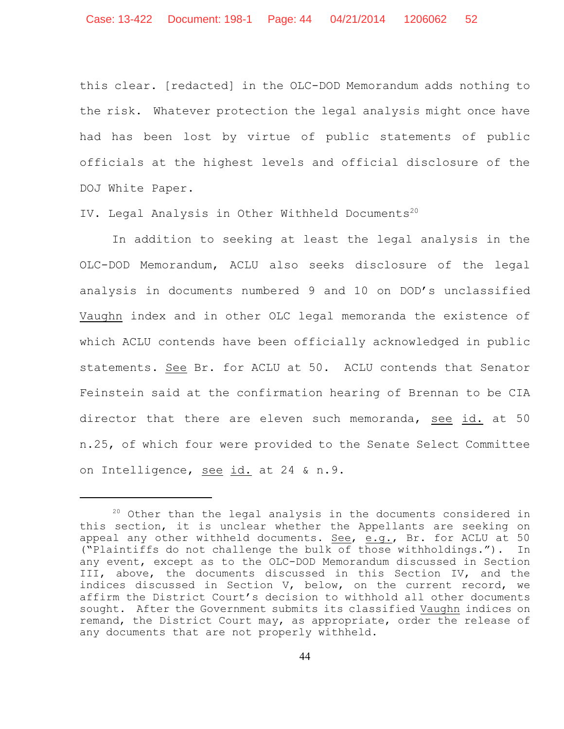this clear. [redacted] in the OLC-DOD Memorandum adds nothing to the risk. Whatever protection the legal analysis might once have had has been lost by virtue of public statements of public officials at the highest levels and official disclosure of the DOJ White Paper.

IV. Legal Analysis in Other Withheld Documents 20

In addition to seeking at least the legal analysis in the OLC-DOD Memorandum, ACLU also seeks disclosure of the legal analysis in documents numbered 9 and 10 on DOD's unclassified Vaughn index and in other OLC legal memoranda the existence of which ACLU contends have been officially acknowledged in public statements. See Br. for ACLU at 50. ACLU contends that Senator Feinstein said at the confirmation hearing of Brennan to be CIA director that there are eleven such memoranda, see id. at 50 n.25, of which four were provided to the Senate Select Committee on Intelligence, see id. at 24 & n.9.

 $20$  Other than the legal analysis in the documents considered in this section, it is unclear whether the Appellants are seeking on appeal any other withheld documents. See, e.g., Br. for ACLU at 50 ("Plaintiffs do not challenge the bulk of those withholdings."). In any event, except as to the OLC-DOD Memorandum discussed in Section III, above, the documents discussed in this Section IV, and the indices discussed in Section V, below, on the current record, we affirm the District Court's decision to withhold all other documents sought. After the Government submits its classified Vaughn indices on remand, the District Court may, as appropriate, order the release of any documents that are not properly withheld.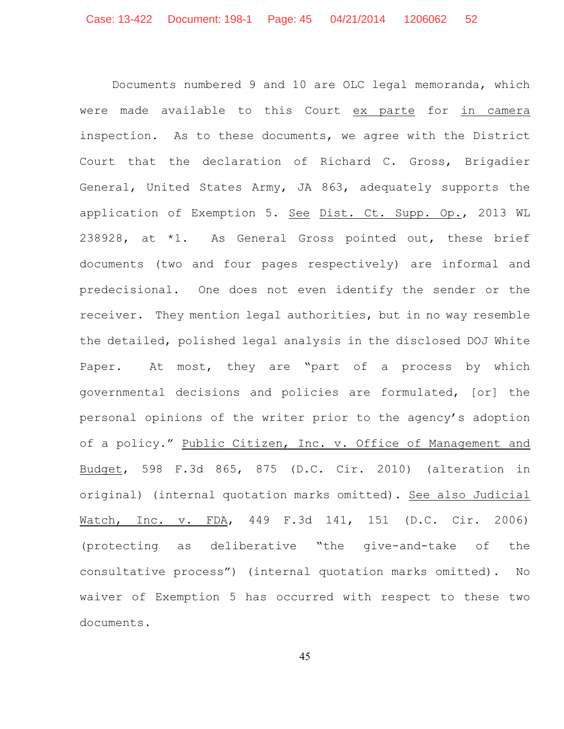Documents numbered 9 and 10 are OLC legal memoranda, which were made available to this Court ex parte for in camera inspection. As to these documents, we agree with the District Court that the declaration of Richard C. Gross, Brigadier General, United States Army, JA 863, adequately supports the application of Exemption 5. See Dist. Ct. Supp. Op., 2013 WL 238928, at \*1. As General Gross pointed out, these brief documents (two and four pages respectively) are informal and predecisional. One does not even identify the sender or the receiver. They mention legal authorities, but in no way resemble the detailed, polished legal analysis in the disclosed DOJ White Paper. At most, they are "part of a process by which governmental decisions and policies are formulated, [or] the personal opinions of the writer prior to the agency's adoption of a policy." Public Citizen, Inc. v. Office of Management and Budget, 598 F.3d 865, 875 (D.C. Cir. 2010) (alteration in original) (internal quotation marks omitted). See also Judicial Watch, Inc. v. FDA, 449 F.3d 141, 151 (D.C. Cir. 2006) (protecting as deliberative "the give-and-take of the consultative process") (internal quotation marks omitted). No waiver of Exemption 5 has occurred with respect to these two documents.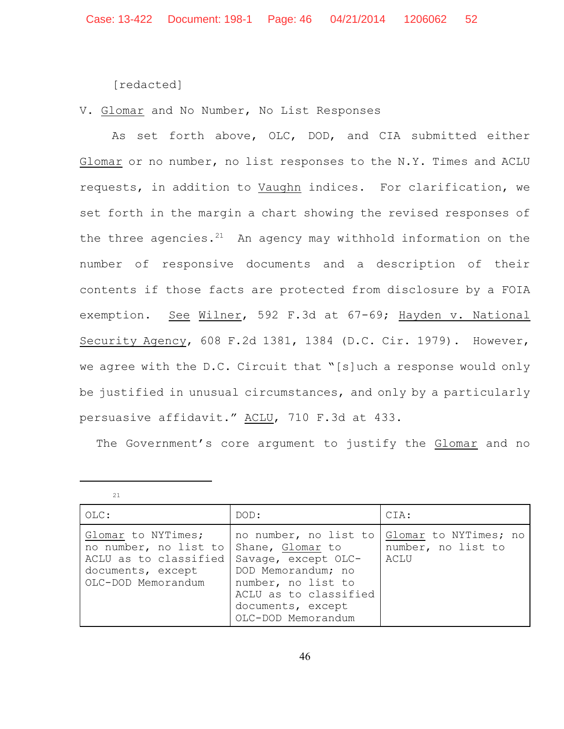[redacted]

V. Glomar and No Number, No List Responses

As set forth above, OLC, DOD, and CIA submitted either Glomar or no number, no list responses to the N.Y. Times and ACLU requests, in addition to Vaughn indices. For clarification, we set forth in the margin a chart showing the revised responses of the three agencies. $21$  An agency may withhold information on the number of responsive documents and a description of their contents if those facts are protected from disclosure by a FOIA exemption. See Wilner, 592 F.3d at 67-69; Hayden v. National Security Agency, 608 F.2d 1381, 1384 (D.C. Cir. 1979). However, we agree with the D.C. Circuit that "[s]uch a response would only be justified in unusual circumstances, and only by a particularly persuasive affidavit." ACLU, 710 F.3d at 433.

The Government's core argument to justify the Glomar and no

| $OLC$ :                                                                                                         | DOD:                                                                                                                                                                             | CIA:                                                |
|-----------------------------------------------------------------------------------------------------------------|----------------------------------------------------------------------------------------------------------------------------------------------------------------------------------|-----------------------------------------------------|
| Glomar to NYTimes;<br>no number, no list to<br>ACLU as to classified<br>documents, except<br>OLC-DOD Memorandum | no number, no list to<br>Shane, Glomar to<br>Savage, except OLC-<br>DOD Memorandum; no<br>number, no list to<br>ACLU as to classified<br>documents, except<br>OLC-DOD Memorandum | Glomar to NYTimes; no<br>number, no list to<br>ACLU |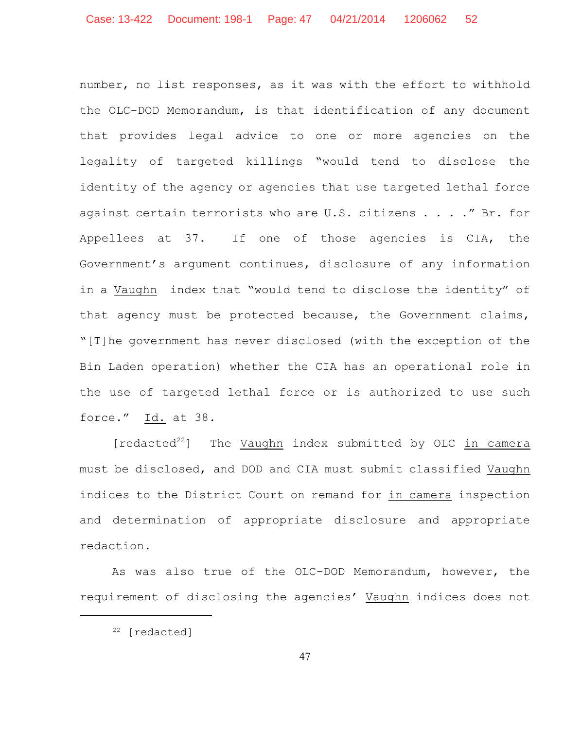number, no list responses, as it was with the effort to withhold the OLC-DOD Memorandum, is that identification of any document that provides legal advice to one or more agencies on the legality of targeted killings "would tend to disclose the identity of the agency or agencies that use targeted lethal force against certain terrorists who are U.S. citizens . . . . " Br. for Appellees at 37. If one of those agencies is CIA, the Government's argument continues, disclosure of any information in a Vaughn index that "would tend to disclose the identity" of that agency must be protected because, the Government claims, "[T]he government has never disclosed (with the exception of the Bin Laden operation) whether the CIA has an operational role in the use of targeted lethal force or is authorized to use such force." Id. at 38.

 $[redacted <sup>22</sup>]$  The Vaughn index submitted by OLC in camera must be disclosed, and DOD and CIA must submit classified Vaughn indices to the District Court on remand for in camera inspection and determination of appropriate disclosure and appropriate redaction.

As was also true of the OLC-DOD Memorandum, however, the requirement of disclosing the agencies' Vaughn indices does not

 $22$  [redacted]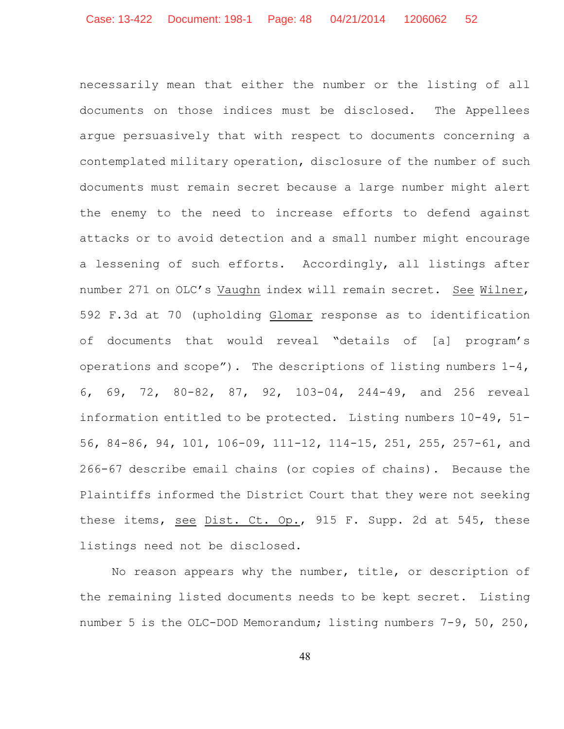necessarily mean that either the number or the listing of all documents on those indices must be disclosed. The Appellees argue persuasively that with respect to documents concerning a contemplated military operation, disclosure of the number of such documents must remain secret because a large number might alert the enemy to the need to increase efforts to defend against attacks or to avoid detection and a small number might encourage a lessening of such efforts. Accordingly, all listings after number 271 on OLC's Vaughn index will remain secret. See Wilner, 592 F.3d at 70 (upholding Glomar response as to identification of documents that would reveal "details of [a] program's operations and scope"). The descriptions of listing numbers 1-4, 6, 69, 72, 80-82, 87, 92, 103-04, 244-49, and 256 reveal information entitled to be protected. Listing numbers 10-49, 51- 56, 84-86, 94, 101, 106-09, 111-12, 114-15, 251, 255, 257-61, and 266-67 describe email chains (or copies of chains). Because the Plaintiffs informed the District Court that they were not seeking these items, see Dist. Ct. Op., 915 F. Supp. 2d at 545, these listings need not be disclosed.

No reason appears why the number, title, or description of the remaining listed documents needs to be kept secret. Listing number 5 is the OLC-DOD Memorandum; listing numbers 7-9, 50, 250,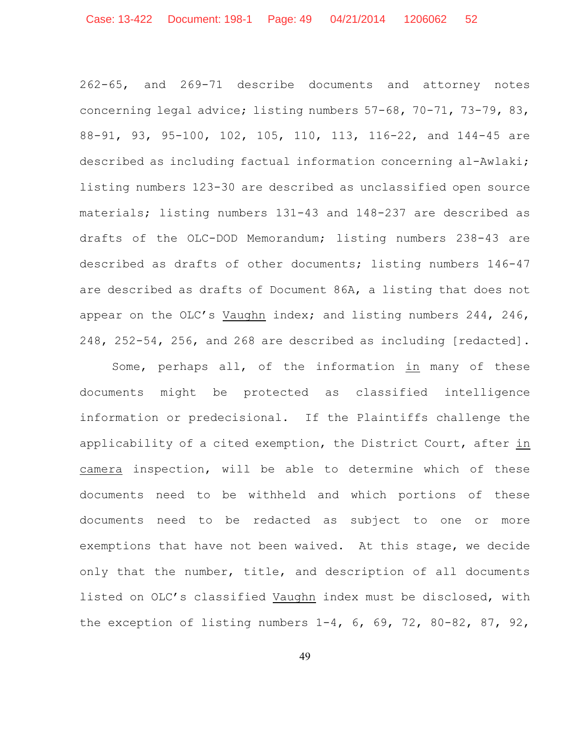262-65, and 269-71 describe documents and attorney notes concerning legal advice; listing numbers 57-68, 70-71, 73-79, 83, 88-91, 93, 95-100, 102, 105, 110, 113, 116-22, and 144-45 are described as including factual information concerning al-Awlaki; listing numbers 123-30 are described as unclassified open source materials; listing numbers 131-43 and 148-237 are described as drafts of the OLC-DOD Memorandum; listing numbers 238-43 are described as drafts of other documents; listing numbers 146-47 are described as drafts of Document 86A, a listing that does not appear on the OLC's Vaughn index; and listing numbers 244, 246, 248, 252-54, 256, and 268 are described as including [redacted].

Some, perhaps all, of the information in many of these documents might be protected as classified intelligence information or predecisional. If the Plaintiffs challenge the applicability of a cited exemption, the District Court, after in camera inspection, will be able to determine which of these documents need to be withheld and which portions of these documents need to be redacted as subject to one or more exemptions that have not been waived. At this stage, we decide only that the number, title, and description of all documents listed on OLC's classified Vaughn index must be disclosed, with the exception of listing numbers 1-4, 6, 69, 72, 80-82, 87, 92,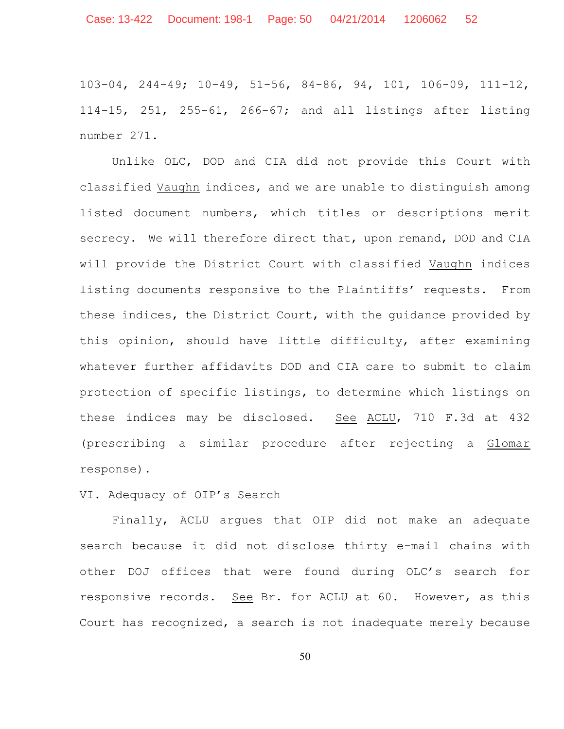103-04, 244-49; 10-49, 51-56, 84-86, 94, 101, 106-09, 111-12, 114-15, 251, 255-61, 266-67; and all listings after listing number 271.

Unlike OLC, DOD and CIA did not provide this Court with classified Vaughn indices, and we are unable to distinguish among listed document numbers, which titles or descriptions merit secrecy. We will therefore direct that, upon remand, DOD and CIA will provide the District Court with classified Vaughn indices listing documents responsive to the Plaintiffs' requests. From these indices, the District Court, with the guidance provided by this opinion, should have little difficulty, after examining whatever further affidavits DOD and CIA care to submit to claim protection of specific listings, to determine which listings on these indices may be disclosed. See ACLU, 710 F.3d at 432 (prescribing a similar procedure after rejecting a Glomar response).

## VI. Adequacy of OIP's Search

Finally, ACLU argues that OIP did not make an adequate search because it did not disclose thirty e-mail chains with other DOJ offices that were found during OLC's search for responsive records. See Br. for ACLU at 60. However, as this Court has recognized, a search is not inadequate merely because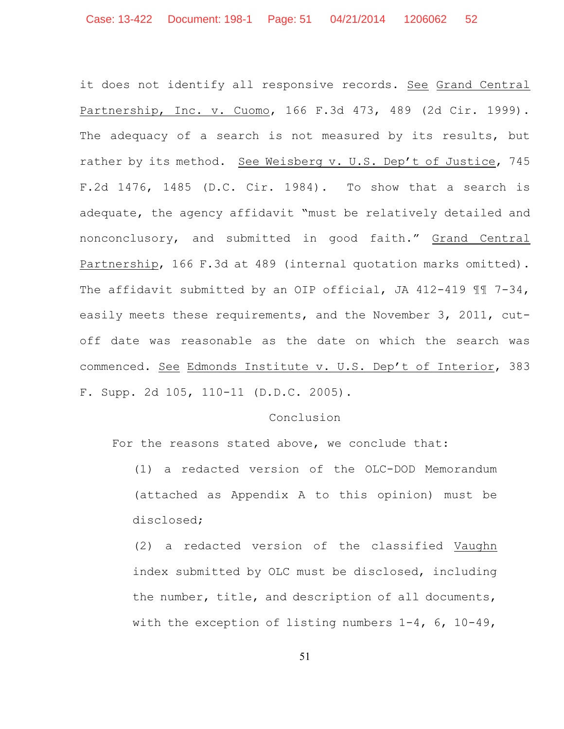it does not identify all responsive records. See Grand Central Partnership, Inc. v. Cuomo, 166 F.3d 473, 489 (2d Cir. 1999). The adequacy of a search is not measured by its results, but rather by its method. See Weisberg v. U.S. Dep't of Justice, 745 F.2d 1476, 1485 (D.C. Cir. 1984). To show that a search is adequate, the agency affidavit "must be relatively detailed and nonconclusory, and submitted in good faith." Grand Central Partnership, 166 F.3d at 489 (internal quotation marks omitted). The affidavit submitted by an OIP official, JA 412-419  $\mathbb{II}$  7-34, easily meets these requirements, and the November 3, 2011, cutoff date was reasonable as the date on which the search was commenced. See Edmonds Institute v. U.S. Dep't of Interior, 383 F. Supp. 2d 105, 110-11 (D.D.C. 2005).

#### Conclusion

For the reasons stated above, we conclude that:

(1) a redacted version of the OLC-DOD Memorandum (attached as Appendix A to this opinion) must be disclosed;

(2) a redacted version of the classified Vaughn index submitted by OLC must be disclosed, including the number, title, and description of all documents, with the exception of listing numbers  $1-4$ , 6, 10-49,